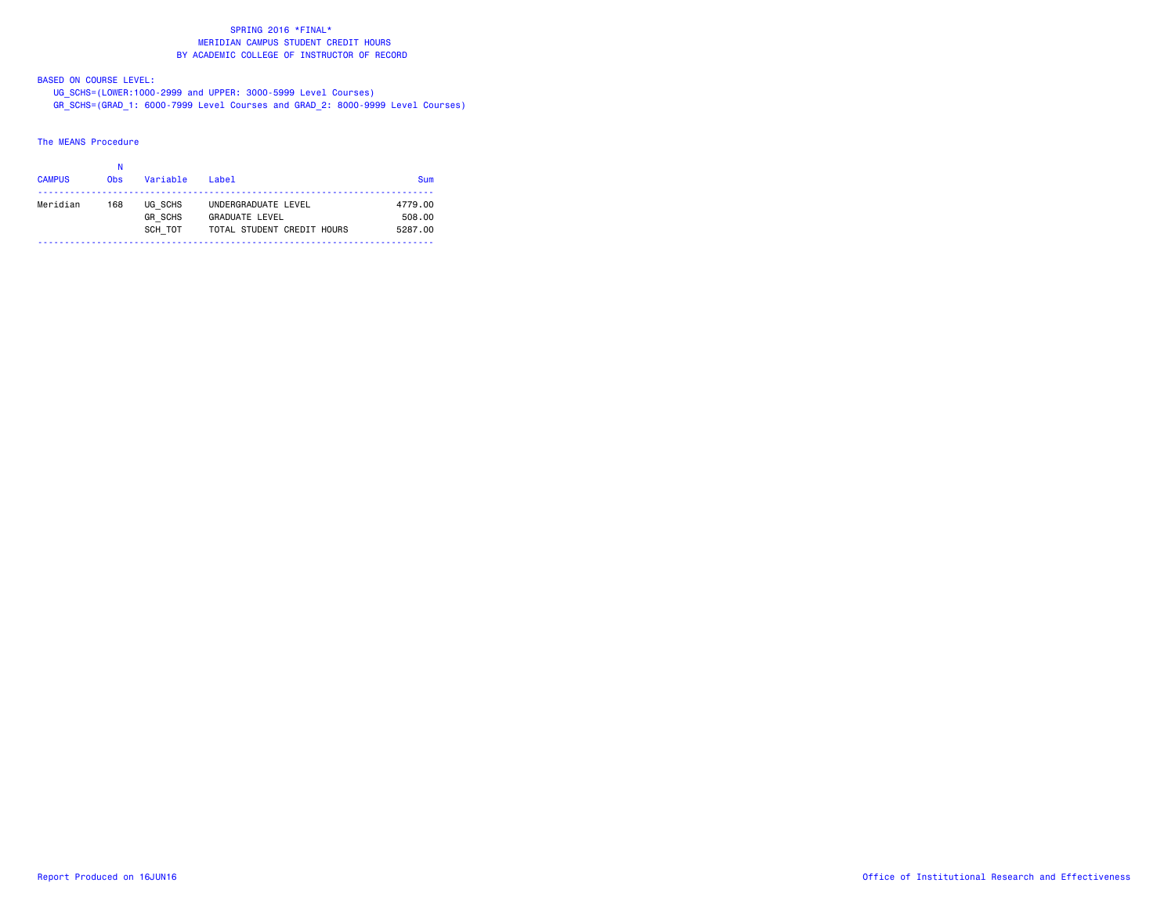# BASED ON COURSE LEVEL:

 UG\_SCHS=(LOWER:1000-2999 and UPPER: 3000-5999 Level Courses) GR\_SCHS=(GRAD\_1: 6000-7999 Level Courses and GRAD\_2: 8000-9999 Level Courses)

#### The MEANS Procedure

| <b>CAMPUS</b> | <b>Obs</b> | Variable                             | $I$ ahe $I$                                                                | Sum                          |
|---------------|------------|--------------------------------------|----------------------------------------------------------------------------|------------------------------|
| Meridian      | 168        | UG SCHS<br><b>GR SCHS</b><br>SCH TOT | UNDERGRADUATE LEVEL<br><b>GRADUATE LEVEL</b><br>TOTAL STUDENT CREDIT HOURS | 4779.00<br>508.00<br>5287.00 |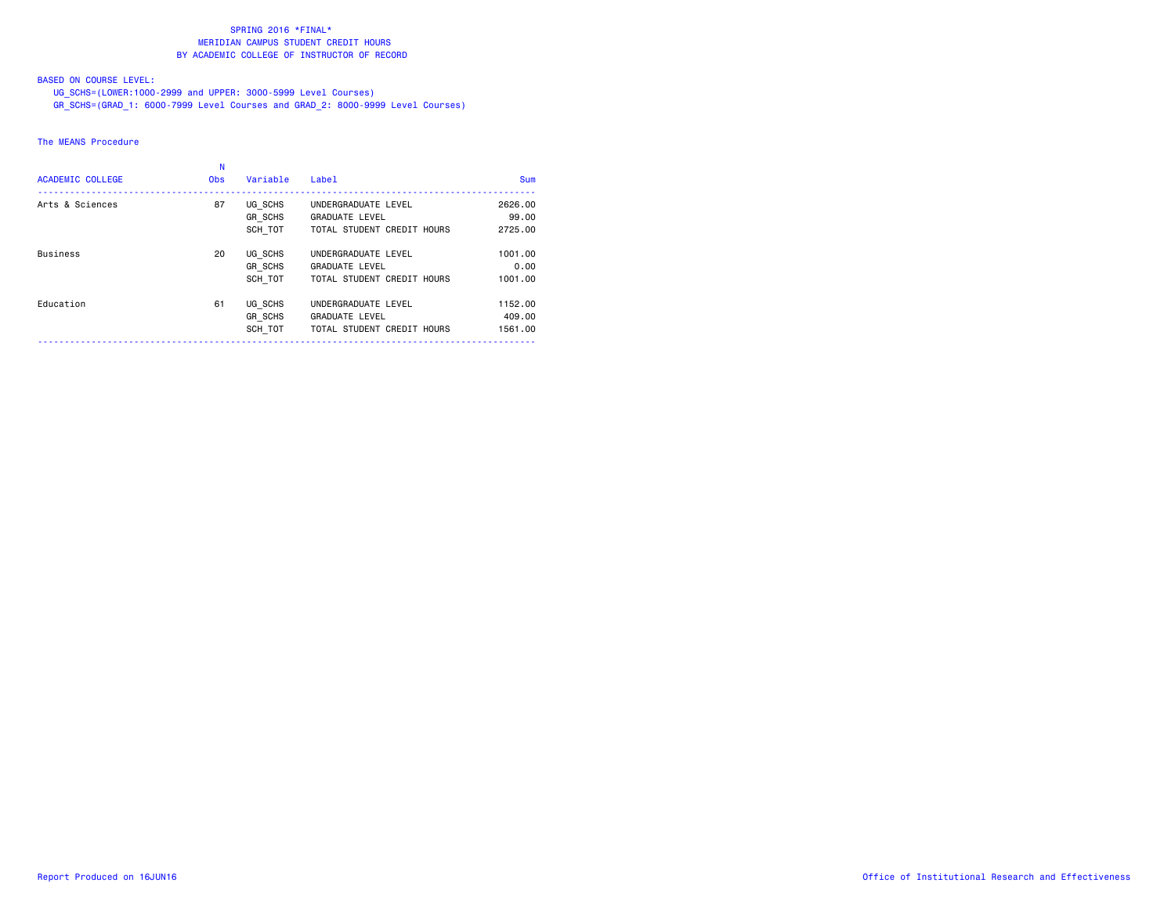# BASED ON COURSE LEVEL:

UG\_SCHS=(LOWER:1000-2999 and UPPER: 3000-5999 Level Courses)

GR\_SCHS=(GRAD\_1: 6000-7999 Level Courses and GRAD\_2: 8000-9999 Level Courses)

### The MEANS Procedure

| <b>ACADEMIC COLLEGE</b> | <b>Obs</b> | Variable                             | <b>Label</b>                                                               | <b>Sum</b>                   |
|-------------------------|------------|--------------------------------------|----------------------------------------------------------------------------|------------------------------|
| Arts & Sciences         | 87         | UG SCHS<br><b>GR SCHS</b><br>SCH TOT | UNDERGRADUATE LEVEL<br><b>GRADUATE LEVEL</b><br>TOTAL STUDENT CREDIT HOURS | 2626.00<br>99.00<br>2725.00  |
| <b>Business</b>         | 20         | UG SCHS<br><b>GR SCHS</b><br>SCH TOT | UNDERGRADUATE LEVEL<br><b>GRADUATE LEVEL</b><br>TOTAL STUDENT CREDIT HOURS | 1001.00<br>0.00<br>1001.00   |
| Education               | 61         | UG SCHS<br><b>GR SCHS</b><br>SCH TOT | UNDERGRADUATE LEVEL<br><b>GRADUATE LEVEL</b><br>TOTAL STUDENT CREDIT HOURS | 1152.00<br>409,00<br>1561.00 |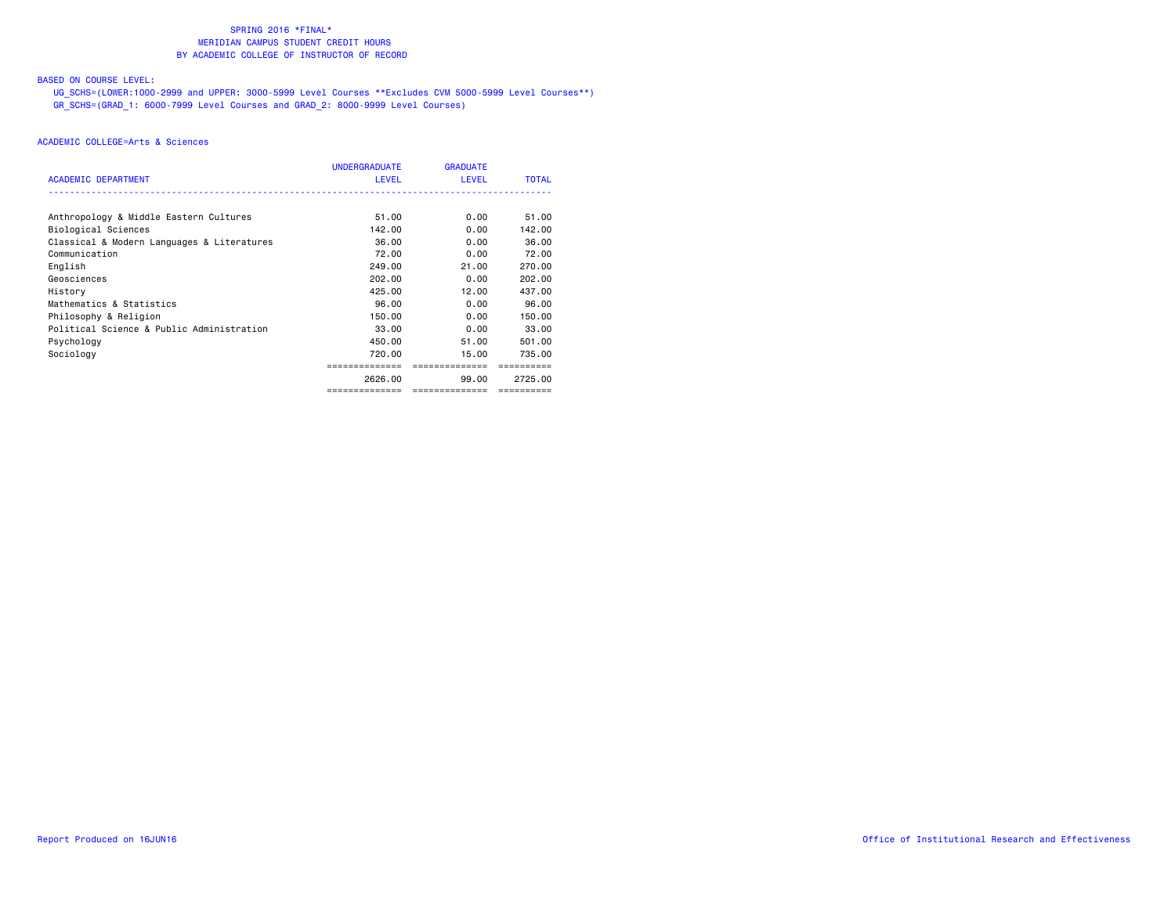# BASED ON COURSE LEVEL:

 UG\_SCHS=(LOWER:1000-2999 and UPPER: 3000-5999 Level Courses \*\*Excludes CVM 5000-5999 Level Courses\*\*) GR\_SCHS=(GRAD\_1: 6000-7999 Level Courses and GRAD\_2: 8000-9999 Level Courses)

|                                            | UNDERGRADUATE  | <b>GRADUATE</b> |              |
|--------------------------------------------|----------------|-----------------|--------------|
| <b>ACADEMIC DEPARTMENT</b>                 | <b>LEVEL</b>   | <b>LEVEL</b>    | <b>TOTAL</b> |
| Anthropology & Middle Eastern Cultures     | 51.00          | 0.00            | 51.00        |
| Biological Sciences                        | 142.00         | 0.00            | 142.00       |
| Classical & Modern Languages & Literatures | 36.00          | 0.00            | 36.00        |
| Communication                              | 72.00          | 0.00            | 72.00        |
| English                                    | 249.00         | 21.00           | 270.00       |
| Geosciences                                | 202.00         | 0.00            | 202.00       |
| History                                    | 425.00         | 12.00           | 437,00       |
| Mathematics & Statistics                   | 96.00          | 0.00            | 96.00        |
| Philosophy & Religion                      | 150.00         | 0.00            | 150.00       |
| Political Science & Public Administration  | 33,00          | 0.00            | 33,00        |
| Psychology                                 | 450.00         | 51.00           | 501.00       |
| Sociology                                  | 720.00         | 15.00           | 735.00       |
|                                            |                | ==============  |              |
|                                            | 2626.00        | 99.00           | 2725.00      |
|                                            | ============== | ==============  | ==========   |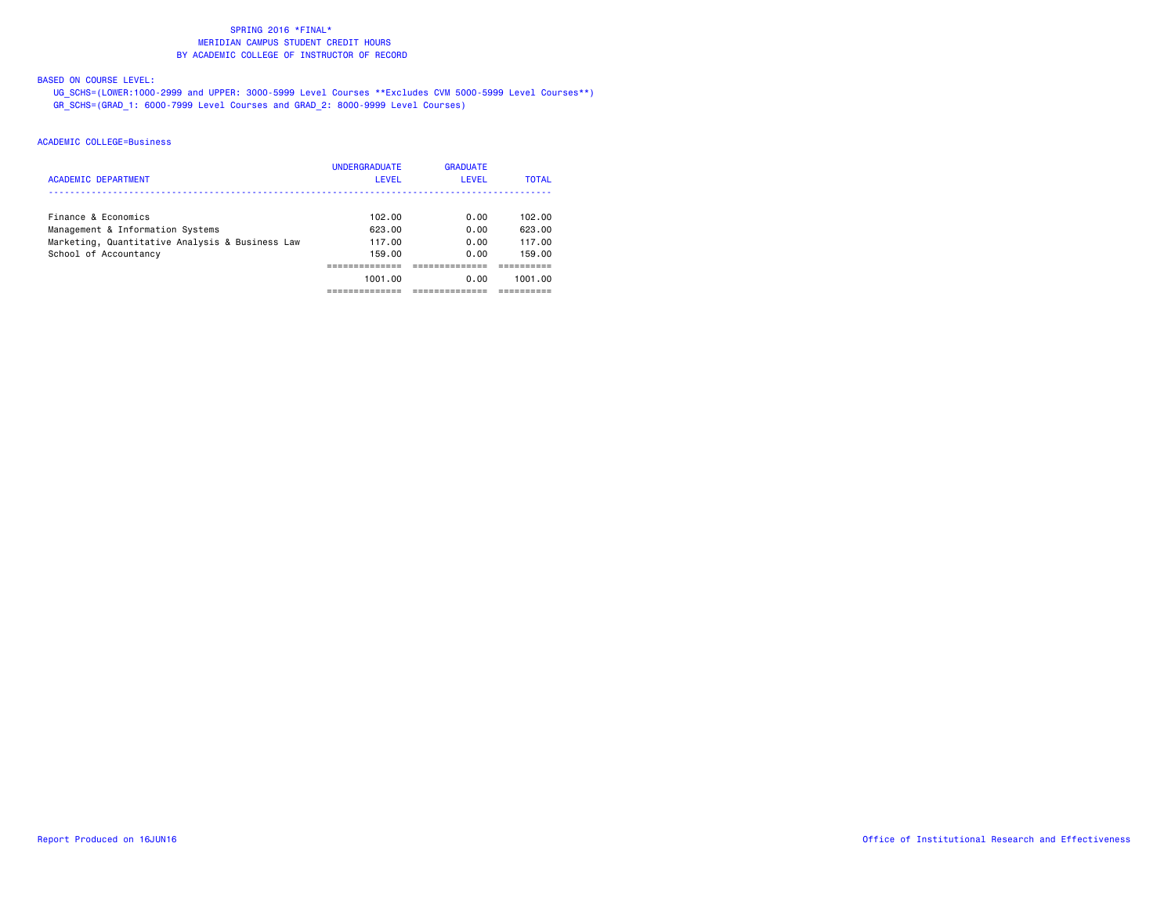# BASED ON COURSE LEVEL:

 UG\_SCHS=(LOWER:1000-2999 and UPPER: 3000-5999 Level Courses \*\*Excludes CVM 5000-5999 Level Courses\*\*) GR\_SCHS=(GRAD\_1: 6000-7999 Level Courses and GRAD\_2: 8000-9999 Level Courses)

| <b>ACADEMIC DEPARTMENT</b>                                               | <b>UNDERGRADUATE</b><br>LEVEL | <b>GRADUATE</b><br>LEVEL | <b>TOTAL</b>     |
|--------------------------------------------------------------------------|-------------------------------|--------------------------|------------------|
| Finance & Economics<br>Management & Information Systems                  | 102.00<br>623.00              | 0.00<br>0.00             | 102.00<br>623.00 |
| Marketing, Quantitative Analysis & Business Law<br>School of Accountancy | 117.00<br>159.00              | 0.00<br>0.00             | 117.00<br>159.00 |
|                                                                          | 1001.00                       | 0.00                     | 1001.00          |
|                                                                          |                               |                          |                  |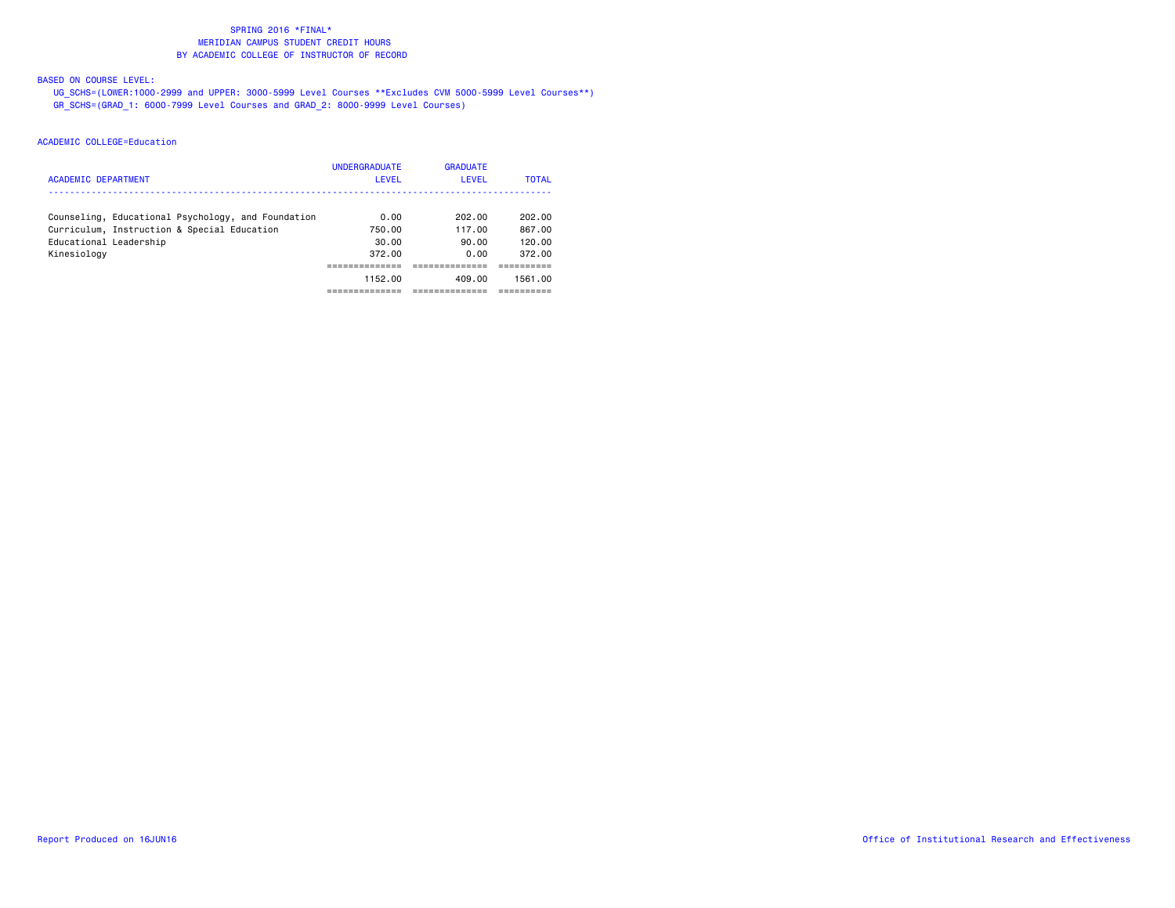# BASED ON COURSE LEVEL:

 UG\_SCHS=(LOWER:1000-2999 and UPPER: 3000-5999 Level Courses \*\*Excludes CVM 5000-5999 Level Courses\*\*) GR\_SCHS=(GRAD\_1: 6000-7999 Level Courses and GRAD\_2: 8000-9999 Level Courses)

| <b>ACADEMIC DEPARTMENT</b>                         | <b>UNDERGRADUATE</b><br>LEVEL | <b>GRADUATE</b><br>LEVEL | <b>TOTAL</b> |
|----------------------------------------------------|-------------------------------|--------------------------|--------------|
| Counseling, Educational Psychology, and Foundation | 0.00                          | 202.00                   | 202.00       |
| Curriculum, Instruction & Special Education        | 750.00                        | 117.00                   | 867.00       |
| Educational Leadership                             | 30.00                         | 90.00                    | 120.00       |
| Kinesiology                                        | 372.00                        | 0.00                     | 372.00       |
|                                                    |                               |                          |              |
|                                                    | 1152.00                       | 409.00                   | 1561.00      |
|                                                    |                               |                          |              |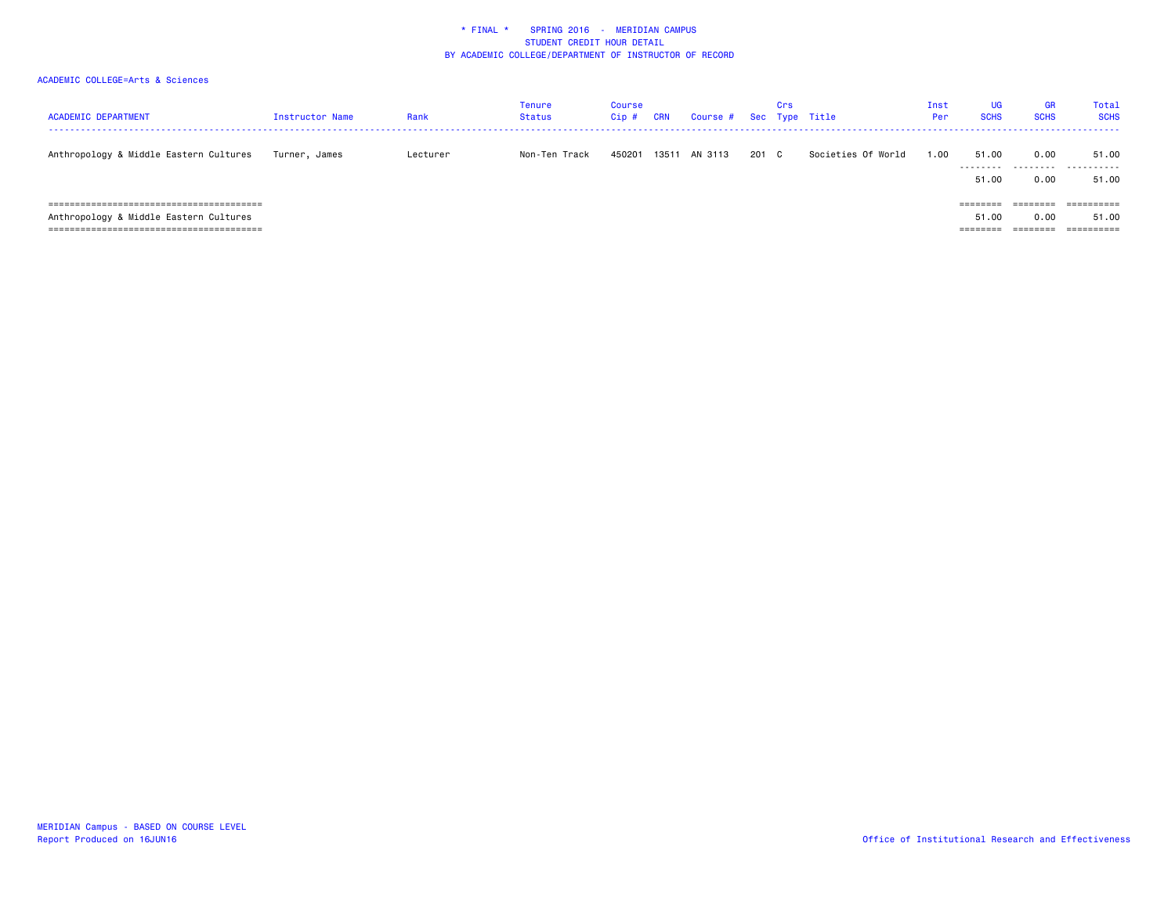| <b>ACADEMIC DEPARTMENT</b>             | Instructor Name | Rank     | Tenure<br><b>Status</b> | Course<br>Cip# | <b>CRN</b> | Course # Sec Type Title |       | Crs |                    | Inst<br>Per | <b>UG</b><br><b>SCHS</b>      | <b>GR</b><br><b>SCHS</b> | <b>Total</b><br><b>SCHS</b><br>----------------------------- |
|----------------------------------------|-----------------|----------|-------------------------|----------------|------------|-------------------------|-------|-----|--------------------|-------------|-------------------------------|--------------------------|--------------------------------------------------------------|
| Anthropology & Middle Eastern Cultures | Turner, James   | Lecturer | Non-Ten Track           | 450201         | 13511      | AN 3113                 | 201 C |     | Societies Of World | 1.00        | 51.00<br>51.00                | 0.00<br><br>0.00         | 51.00<br>.<br>51.00                                          |
| Anthropology & Middle Eastern Cultures |                 |          |                         |                |            |                         |       |     |                    |             | ========<br>51.00<br>======== | 0.00<br>========         | ==========<br>51.00<br>==========                            |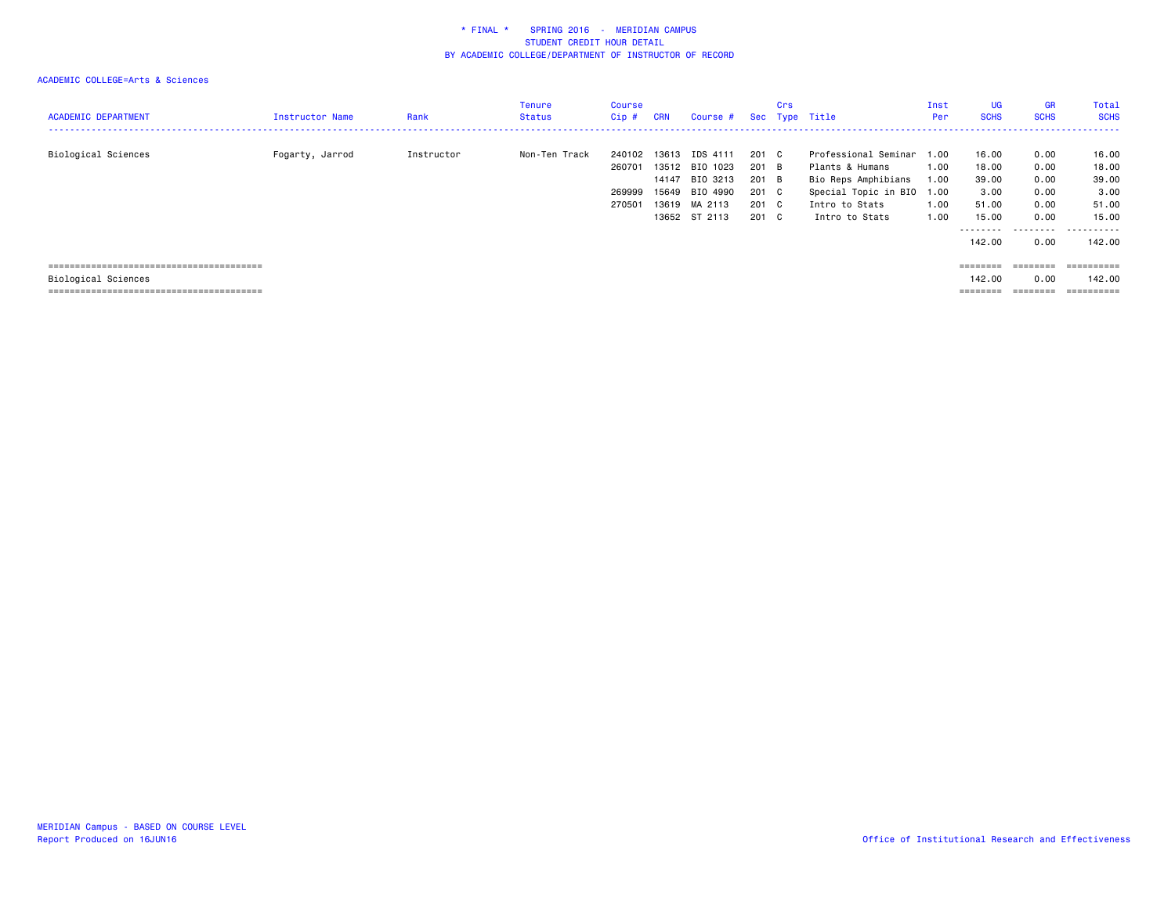| <b>ACADEMIC DEPARTMENT</b> | Instructor Name | Rank       | Tenure<br><b>Status</b> | Course<br>Cip#                       | <b>CRN</b>              | Course #                                                            |                                           | Crs | Sec Type Title                                                                                                     | Inst<br>Per          | <b>UG</b><br><b>SCHS</b>                 | <b>GR</b><br><b>SCHS</b>             | Total<br><b>SCHS</b>                     |
|----------------------------|-----------------|------------|-------------------------|--------------------------------------|-------------------------|---------------------------------------------------------------------|-------------------------------------------|-----|--------------------------------------------------------------------------------------------------------------------|----------------------|------------------------------------------|--------------------------------------|------------------------------------------|
| Biological Sciences        | Fogarty, Jarrod | Instructor | Non-Ten Track           | 240102<br>260701<br>269999<br>270501 | 14147<br>15649<br>13619 | 13613 IDS 4111<br>13512 BIO 1023<br>BIO 3213<br>BIO 4990<br>MA 2113 | 201 C<br>201 B<br>201 B<br>201 C<br>201 C |     | Professional Seminar 1.00<br>Plants & Humans<br>Bio Reps Amphibians<br>Special Topic in BIO 1.00<br>Intro to Stats | 1.00<br>1.00<br>1.00 | 16.00<br>18.00<br>39.00<br>3.00<br>51.00 | 0.00<br>0.00<br>0.00<br>0.00<br>0.00 | 16.00<br>18.00<br>39.00<br>3.00<br>51.00 |
|                            |                 |            |                         |                                      |                         | 13652 ST 2113                                                       | 201 C                                     |     | Intro to Stats                                                                                                     | 1.00                 | 15.00                                    | 0.00                                 | 15.00                                    |
|                            |                 |            |                         |                                      |                         |                                                                     |                                           |     |                                                                                                                    |                      | ---------<br>142,00                      | --------<br>0.00                     | .<br>142.00                              |
|                            |                 |            |                         |                                      |                         |                                                                     |                                           |     |                                                                                                                    |                      | ========                                 | ---------                            | ==========                               |
| Biological Sciences        |                 |            |                         |                                      |                         |                                                                     |                                           |     |                                                                                                                    |                      | 142.00                                   | 0.00                                 | 142.00                                   |
|                            |                 |            |                         |                                      |                         |                                                                     |                                           |     |                                                                                                                    |                      | --------                                 | --------                             | ==========                               |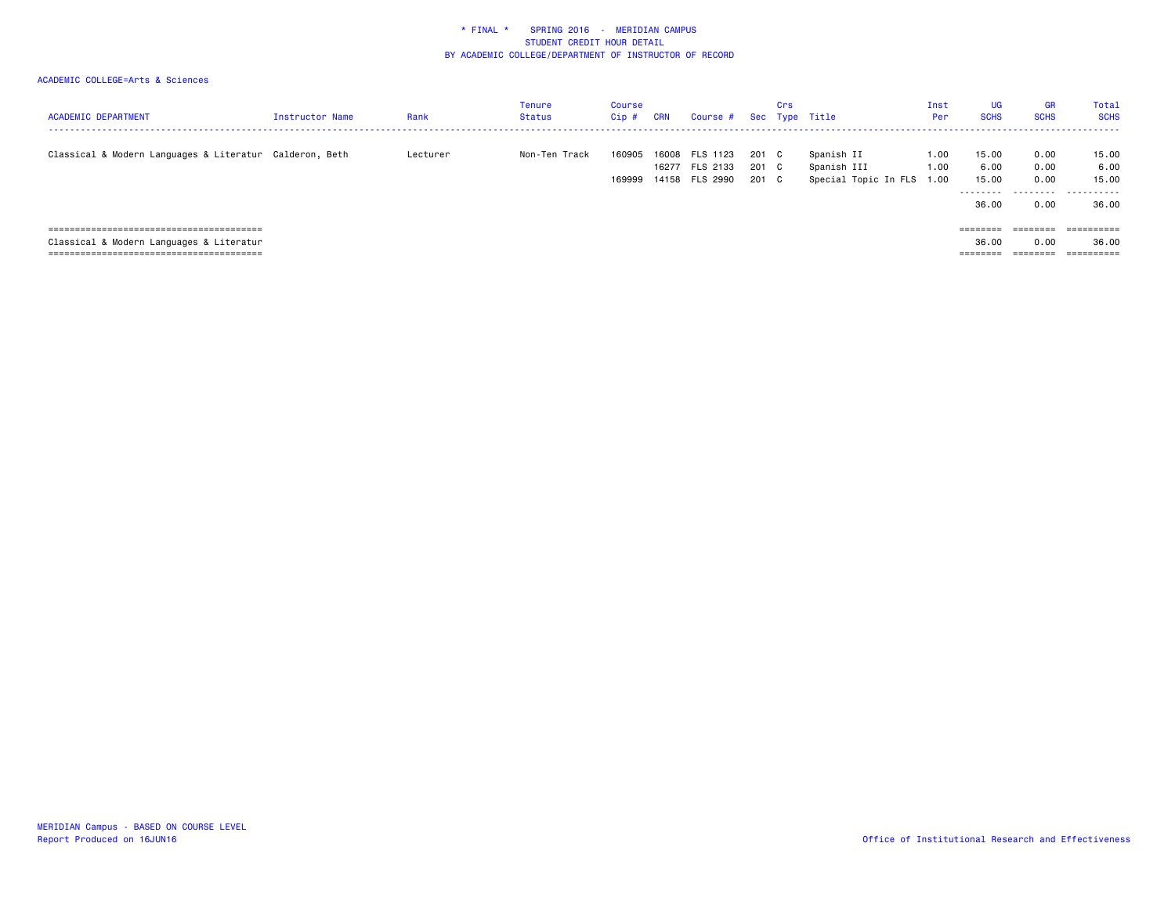| <b>ACADEMIC DEPARTMENT</b>                              | <b>Instructor Name</b> | Rank     | Tenure<br>Status | Course<br>Cip#   | <b>CRN</b> | Course #                                     |                         | Crs | Sec Type Title                                         | Inst<br>Per  | UG<br><b>SCHS</b>                            | <b>GR</b><br><b>SCHS</b>          | <b>Total</b><br><b>SCHS</b>          |
|---------------------------------------------------------|------------------------|----------|------------------|------------------|------------|----------------------------------------------|-------------------------|-----|--------------------------------------------------------|--------------|----------------------------------------------|-----------------------------------|--------------------------------------|
| Classical & Modern Languages & Literatur Calderon, Beth |                        | Lecturer | Non-Ten Track    | 160905<br>169999 | 16008      | FLS 1123<br>16277 FLS 2133<br>14158 FLS 2990 | 201 C<br>201 C<br>201 C |     | Spanish II<br>Spanish III<br>Special Topic In FLS 1.00 | 1.00<br>1.00 | 15.00<br>6.00<br>15.00<br>---------<br>36.00 | 0.00<br>0.00<br>0.00<br>.<br>0.00 | 15.00<br>6.00<br>15.00<br>.<br>36.00 |
|                                                         |                        |          |                  |                  |            |                                              |                         |     |                                                        |              | ========                                     | ========                          | ==========                           |
| Classical & Modern Languages & Literatur                |                        |          |                  |                  |            |                                              |                         |     |                                                        |              | 36.00                                        | 0.00                              | 36.00                                |
|                                                         |                        |          |                  |                  |            |                                              |                         |     |                                                        |              | ---------<br>--------                        | ________<br>-------               | ----------<br>----------             |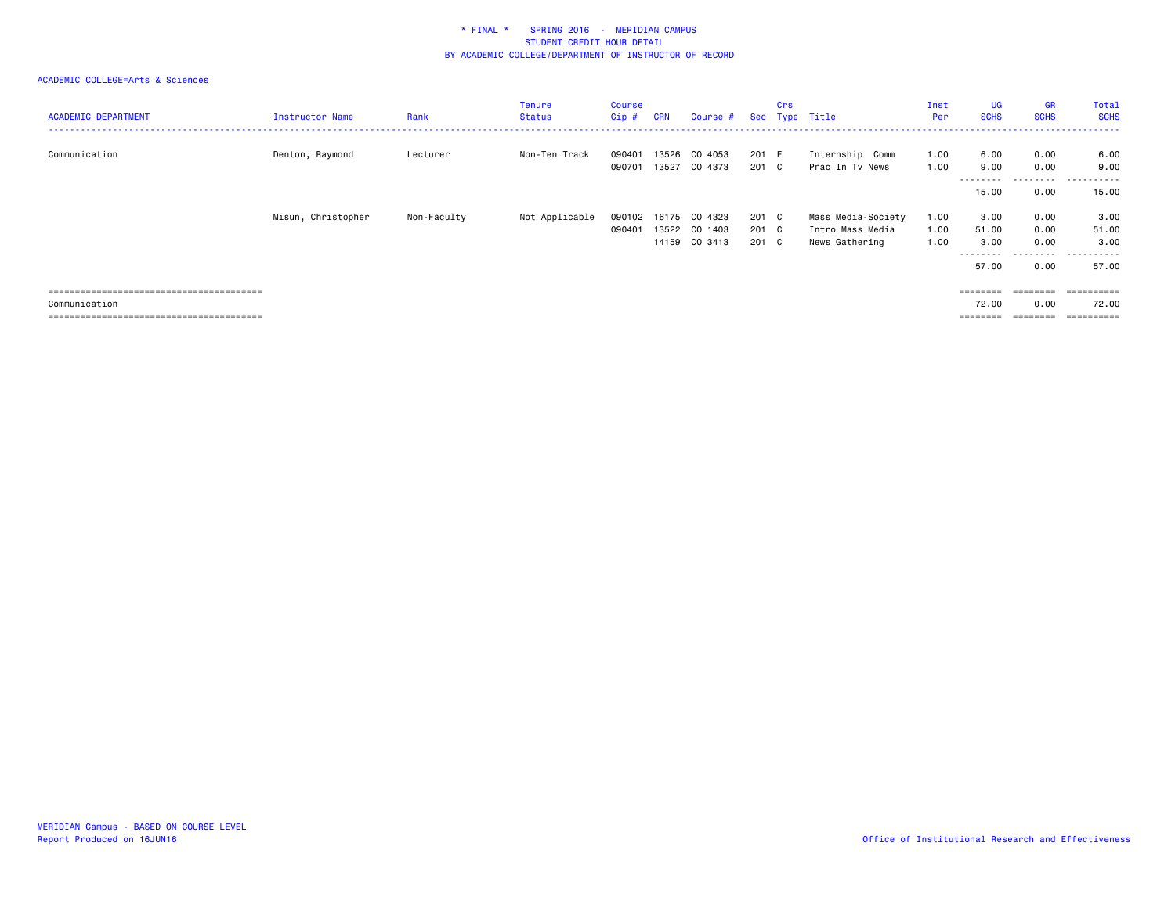| <b>ACADEMIC DEPARTMENT</b> | <b>Instructor Name</b> | Rank        | <b>Tenure</b><br><b>Status</b> | <b>Course</b><br>$Cip$ # | <b>CRN</b> | Course #      |       | <b>Crs</b> | Sec Type Title     | Inst<br>Per | <b>UG</b><br><b>SCHS</b> | <b>GR</b><br><b>SCHS</b> | Total<br><b>SCHS</b> |
|----------------------------|------------------------|-------------|--------------------------------|--------------------------|------------|---------------|-------|------------|--------------------|-------------|--------------------------|--------------------------|----------------------|
|                            |                        |             |                                |                          |            |               |       |            |                    |             |                          |                          |                      |
| Communication              | Denton, Raymond        | Lecturer    | Non-Ten Track                  | 090401                   | 13526      | CO 4053       | 201 E |            | Internship Comm    | 1.00        | 6.00                     | 0.00                     | 6.00                 |
|                            |                        |             |                                | 090701                   | 13527      | CO 4373       | 201 C |            | Prac In Tv News    | 1.00        | 9.00<br>--------         | 0.00<br>-----            | 9.00<br>.            |
|                            |                        |             |                                |                          |            |               |       |            |                    |             | 15.00                    | 0.00                     | 15.00                |
|                            | Misun, Christopher     | Non-Faculty | Not Applicable                 | 090102                   | 16175      | CO 4323       | 201 C |            | Mass Media-Society | 1.00        | 3.00                     | 0.00                     | 3.00                 |
|                            |                        |             |                                | 090401                   |            | 13522 CO 1403 | 201 C |            | Intro Mass Media   | 1.00        | 51.00                    | 0.00                     | 51.00                |
|                            |                        |             |                                |                          |            | 14159 CO 3413 | 201 C |            | News Gathering     | 1.00        | 3.00                     | 0.00                     | 3.00                 |
|                            |                        |             |                                |                          |            |               |       |            |                    |             | .                        | .                        | ------               |
|                            |                        |             |                                |                          |            |               |       |            |                    |             | 57.00                    | 0.00                     | 57.00                |
|                            |                        |             |                                |                          |            |               |       |            |                    |             |                          | $=$ = = = = = = =        |                      |
| Communication              |                        |             |                                |                          |            |               |       |            |                    |             | 72.00                    | 0.00                     | 72.00                |
|                            |                        |             |                                |                          |            |               |       |            |                    |             | ========                 | $=$ = = = = = = =        |                      |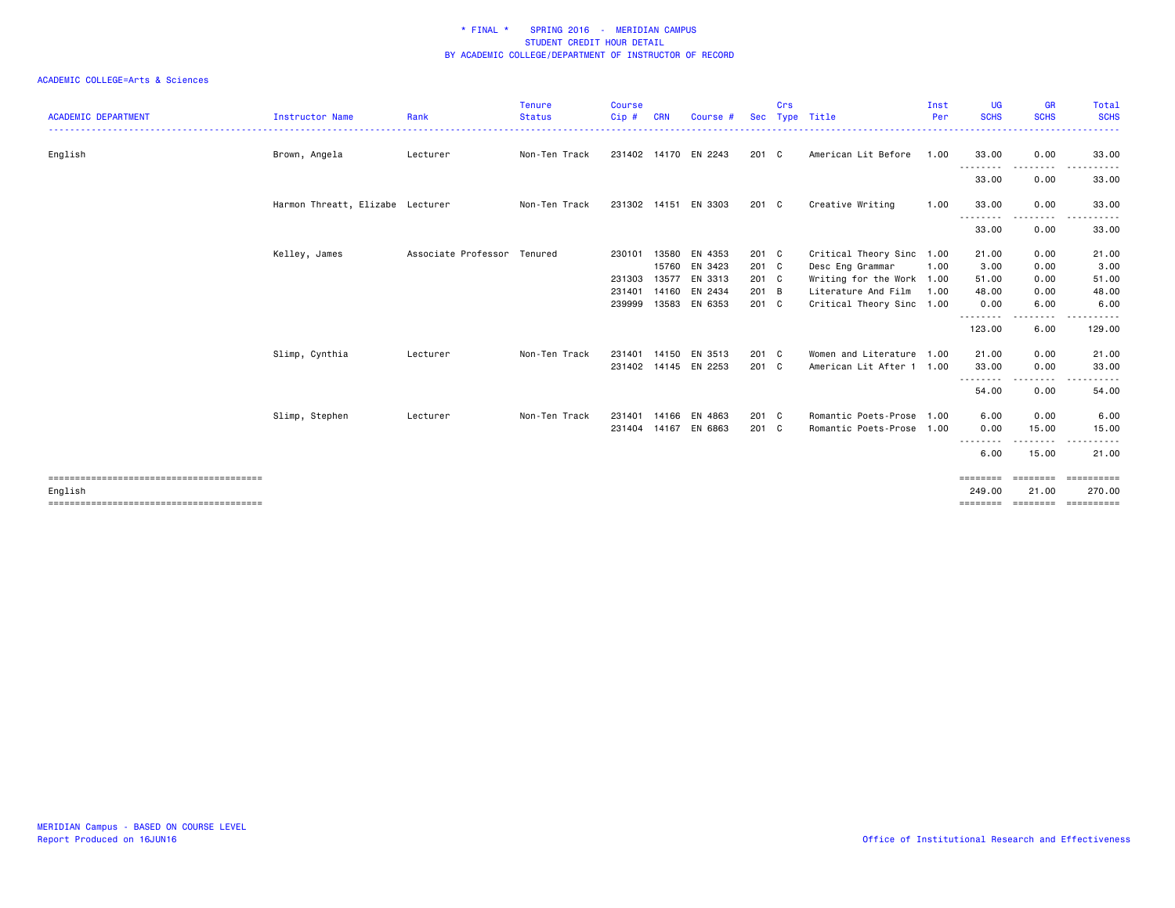| <b>ACADEMIC DEPARTMENT</b> | <b>Instructor Name</b>           | Rank                        | <b>Tenure</b><br><b>Status</b> | <b>Course</b><br>Cip# | <b>CRN</b> | Course #             | <b>Sec</b> | Crs | Type Title                | Inst<br>Per | UG<br><b>SCHS</b>        | <b>GR</b><br><b>SCHS</b> | Total<br><b>SCHS</b><br>. |
|----------------------------|----------------------------------|-----------------------------|--------------------------------|-----------------------|------------|----------------------|------------|-----|---------------------------|-------------|--------------------------|--------------------------|---------------------------|
| English                    | Brown, Angela                    | Lecturer                    | Non-Ten Track                  |                       |            | 231402 14170 EN 2243 | 201 C      |     | American Lit Before       | 1.00        | 33.00                    | 0.00                     | 33.00                     |
|                            |                                  |                             |                                |                       |            |                      |            |     |                           |             | - - - - - - - -<br>33.00 | 0.00                     | 33.00                     |
|                            | Harmon Threatt, Elizabe Lecturer |                             | Non-Ten Track                  |                       |            | 231302 14151 EN 3303 | 201 C      |     | Creative Writing          | 1.00        | 33.00                    | 0.00                     | 33.00                     |
|                            |                                  |                             |                                |                       |            |                      |            |     |                           |             | .<br>33.00               | 0.00                     | 33.00                     |
|                            | Kelley, James                    | Associate Professor Tenured |                                | 230101                | 13580      | EN 4353              | 201 C      |     | Critical Theory Sinc 1.00 |             | 21.00                    | 0.00                     | 21.00                     |
|                            |                                  |                             |                                |                       |            | 15760 EN 3423        | 201 C      |     | Desc Eng Grammar          | 1.00        | 3.00                     | 0.00                     | 3.00                      |
|                            |                                  |                             |                                | 231303                | 13577      | EN 3313              | 201 C      |     | Writing for the Work 1.00 |             | 51.00                    | 0.00                     | 51.00                     |
|                            |                                  |                             |                                | 231401                | 14160      | EN 2434              | 201 B      |     | Literature And Film       | 1.00        | 48.00                    | 0.00                     | 48.00                     |
|                            |                                  |                             |                                | 239999                | 13583      | EN 6353              | 201 C      |     | Critical Theory Sinc 1.00 |             | 0.00                     | 6.00                     | 6.00                      |
|                            |                                  |                             |                                |                       |            |                      |            |     |                           |             | .<br>123.00              | .<br>6.00                | .<br>129.00               |
|                            | Slimp, Cynthia                   | Lecturer                    | Non-Ten Track                  | 231401                |            | 14150 EN 3513        | 201 C      |     | Women and Literature 1.00 |             | 21.00                    | 0.00                     | 21.00                     |
|                            |                                  |                             |                                |                       |            | 231402 14145 EN 2253 | 201 C      |     | American Lit After 1 1.00 |             | 33.00                    | 0.00                     | 33.00                     |
|                            |                                  |                             |                                |                       |            |                      |            |     |                           |             | .                        | .                        |                           |
|                            |                                  |                             |                                |                       |            |                      |            |     |                           |             | 54.00                    | 0.00                     | 54.00                     |
|                            | Slimp, Stephen                   | Lecturer                    | Non-Ten Track                  | 231401                |            | 14166 EN 4863        | 201 C      |     | Romantic Poets-Prose 1.00 |             | 6.00                     | 0.00                     | 6.00                      |
|                            |                                  |                             |                                | 231404 14167          |            | EN 6863              | 201 C      |     | Romantic Poets-Prose 1.00 |             | 0.00                     | 15.00                    | 15.00                     |
|                            |                                  |                             |                                |                       |            |                      |            |     |                           |             |                          |                          |                           |
|                            |                                  |                             |                                |                       |            |                      |            |     |                           |             | 6.00                     | 15.00                    | 21.00                     |
| English                    |                                  |                             |                                |                       |            |                      |            |     |                           |             | ========<br>249.00       | ========<br>21.00        | ==========<br>270.00      |
|                            |                                  |                             |                                |                       |            |                      |            |     |                           |             | --------                 | ---------                | EEEEEEEEE                 |
|                            |                                  |                             |                                |                       |            |                      |            |     |                           |             |                          |                          |                           |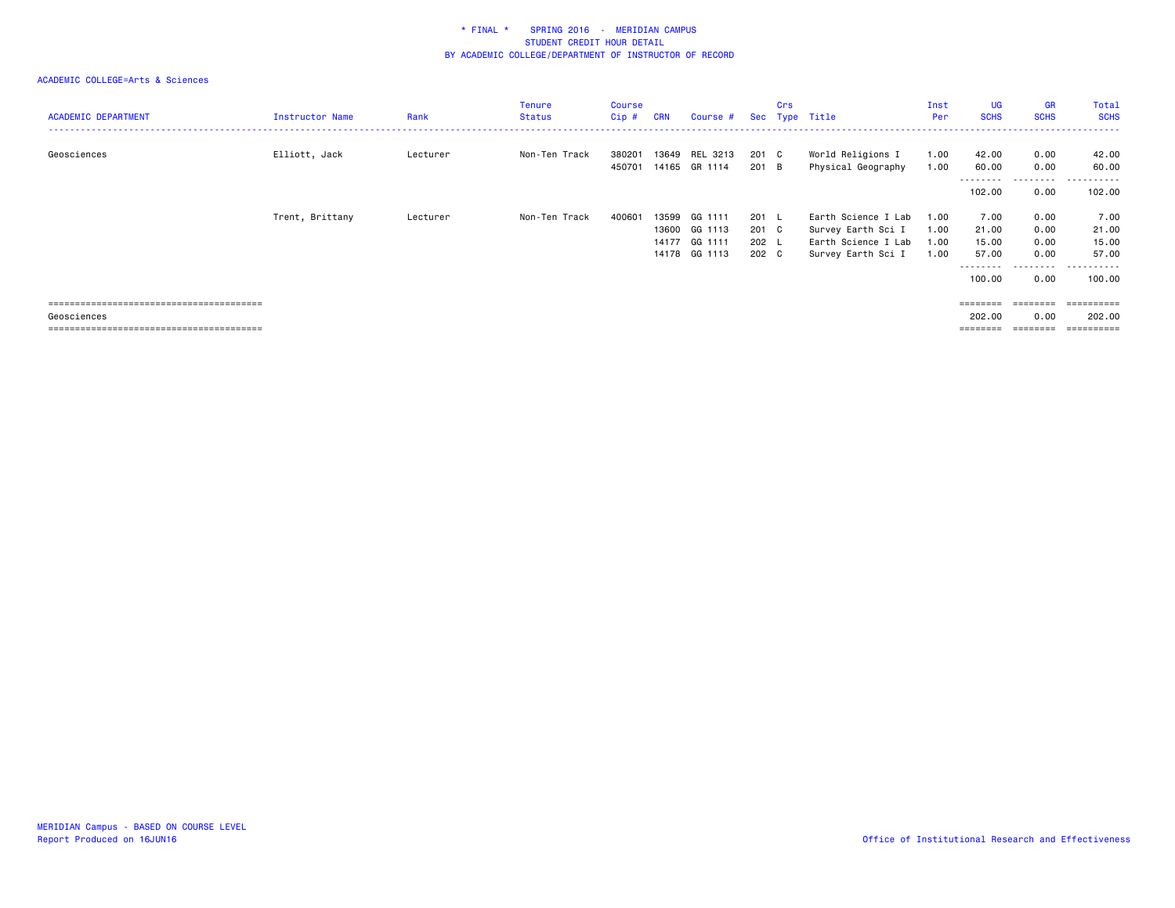| <b>ACADEMIC DEPARTMENT</b> | <b>Instructor Name</b> | Rank     | <b>Tenure</b><br><b>Status</b> | Course<br>Cip#   | <b>CRN</b> | Course #                        |                | <b>Crs</b> | Sec Type Title                            | Inst<br>Per  | <b>UG</b><br><b>SCHS</b>   | GR<br><b>SCHS</b> | Total<br><b>SCHS</b>                 |
|----------------------------|------------------------|----------|--------------------------------|------------------|------------|---------------------------------|----------------|------------|-------------------------------------------|--------------|----------------------------|-------------------|--------------------------------------|
| Geosciences                | Elliott, Jack          | Lecturer | Non-Ten Track                  | 380201<br>450701 |            | 13649 REL 3213<br>14165 GR 1114 | 201 C<br>201 B |            | World Religions I<br>Physical Geography   | 1.00<br>1.00 | 42.00<br>60.00<br>-------- | 0.00<br>0.00<br>. | 42.00<br>60.00<br>-------<br>$- - -$ |
|                            |                        |          |                                |                  |            |                                 |                |            |                                           |              | 102.00                     | 0.00              | 102.00                               |
|                            | Trent, Brittany        | Lecturer | Non-Ten Track                  | 400601           | 13599      | GG 1111                         | $201 \quad L$  |            | Earth Science I Lab                       | 1.00         | 7.00                       | 0.00              | 7.00                                 |
|                            |                        |          |                                |                  |            | 13600 GG 1113<br>14177 GG 1111  | 201 C<br>202 L |            | Survey Earth Sci I<br>Earth Science I Lab | 1.00<br>1.00 | 21.00<br>15.00             | 0.00<br>0.00      | 21.00<br>15.00                       |
|                            |                        |          |                                |                  |            | 14178 GG 1113                   | 202 C          |            | Survey Earth Sci I                        | 1.00         | 57.00                      | 0.00              | 57.00                                |
|                            |                        |          |                                |                  |            |                                 |                |            |                                           |              | --------<br>100.00         | .<br>0.00         | .<br>100.00                          |
|                            |                        |          |                                |                  |            |                                 |                |            |                                           |              | ========                   | ========          | -----------                          |
| Geosciences                |                        |          |                                |                  |            |                                 |                |            |                                           |              | 202.00                     | 0.00              | 202.00                               |
|                            |                        |          |                                |                  |            |                                 |                |            |                                           |              |                            |                   | $=$ = = = = = = = = :                |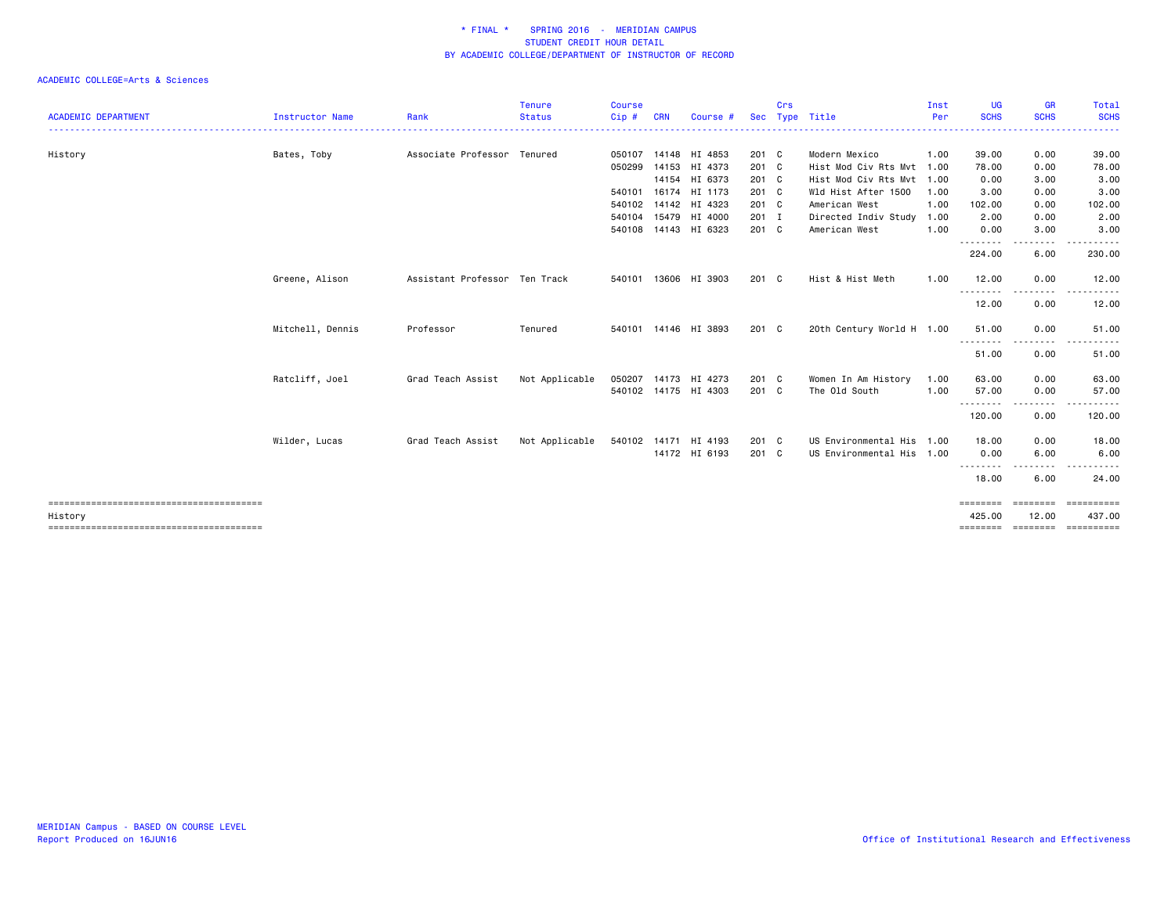|                            |                  |                               | <b>Tenure</b>  | <b>Course</b> |            |                      |            | Crs |                           | Inst | UG          | GR               | Total                                     |
|----------------------------|------------------|-------------------------------|----------------|---------------|------------|----------------------|------------|-----|---------------------------|------|-------------|------------------|-------------------------------------------|
| <b>ACADEMIC DEPARTMENT</b> | Instructor Name  | Rank                          | <b>Status</b>  | Cip#          | <b>CRN</b> | Course               | <b>Sec</b> |     | Type Title                | Per  | <b>SCHS</b> | <b>SCHS</b>      | <b>SCHS</b>                               |
| History                    | Bates, Toby      | Associate Professor Tenured   |                | 050107        |            | 14148 HI 4853        | 201 C      |     | Modern Mexico             | 1.00 | 39.00       | 0.00             | 39.00                                     |
|                            |                  |                               |                | 050299        | 14153      | HI 4373              | 201 C      |     | Hist Mod Civ Rts Mvt 1.00 |      | 78.00       | 0.00             | 78.00                                     |
|                            |                  |                               |                |               | 14154      | HI 6373              | 201 C      |     | Hist Mod Civ Rts Mvt 1.00 |      | 0.00        | 3.00             | 3.00                                      |
|                            |                  |                               |                | 540101        | 16174      | HI 1173              | 201 C      |     | Wld Hist After 1500       | 1.00 | 3.00        | 0.00             | 3.00                                      |
|                            |                  |                               |                | 540102        | 14142      | HI 4323              | 201 C      |     | American West             | 1.00 | 102.00      | 0.00             | 102.00                                    |
|                            |                  |                               |                | 540104        |            | 15479 HI 4000        | 201 I      |     | Directed Indiv Study      | 1.00 | 2.00        | 0.00             | 2.00                                      |
|                            |                  |                               |                | 540108        |            | 14143 HI 6323        | 201 C      |     | American West             | 1.00 | 0.00        | 3.00<br>$\cdots$ | 3.00                                      |
|                            |                  |                               |                |               |            |                      |            |     |                           |      | 224.00      | 6.00             | 230.00                                    |
|                            | Greene, Alison   | Assistant Professor Ten Track |                | 540101        |            | 13606 HI 3903        | 201 C      |     | Hist & Hist Meth          | 1.00 | 12.00       | 0.00             | 12.00                                     |
|                            |                  |                               |                |               |            |                      |            |     |                           |      | .<br>12.00  | 0.00             | 12.00                                     |
|                            | Mitchell, Dennis | Professor                     | Tenured        |               |            | 540101 14146 HI 3893 | 201 C      |     | 20th Century World H 1.00 |      | 51.00       | 0.00             | 51.00                                     |
|                            |                  |                               |                |               |            |                      |            |     |                           |      | .<br>51.00  | 0.00             | 51.00                                     |
|                            | Ratcliff, Joel   | Grad Teach Assist             | Not Applicable | 050207        |            | 14173 HI 4273        | 201 C      |     | Women In Am History       | 1.00 | 63.00       | 0.00             | 63.00                                     |
|                            |                  |                               |                |               |            | 540102 14175 HI 4303 | 201 C      |     | The Old South             | 1.00 | 57.00<br>.  | 0.00             | 57.00                                     |
|                            |                  |                               |                |               |            |                      |            |     |                           |      | 120.00      | 0.00             | 120.00                                    |
|                            | Wilder, Lucas    | Grad Teach Assist             | Not Applicable |               |            | 540102 14171 HI 4193 | 201 C      |     | US Environmental His 1.00 |      | 18.00       | 0.00             | 18.00                                     |
|                            |                  |                               |                |               |            | 14172 HI 6193        | 201 C      |     | US Environmental His 1.00 |      | 0.00        | 6.00             | 6.00                                      |
|                            |                  |                               |                |               |            |                      |            |     |                           |      | .<br>18.00  | 6.00             | 24.00                                     |
|                            |                  |                               |                |               |            |                      |            |     |                           |      | ========    | ========         | essessess                                 |
| History                    |                  |                               |                |               |            |                      |            |     |                           |      | 425.00      | 12.00            | 437.00<br>=============================== |
|                            |                  |                               |                |               |            |                      |            |     |                           |      |             |                  |                                           |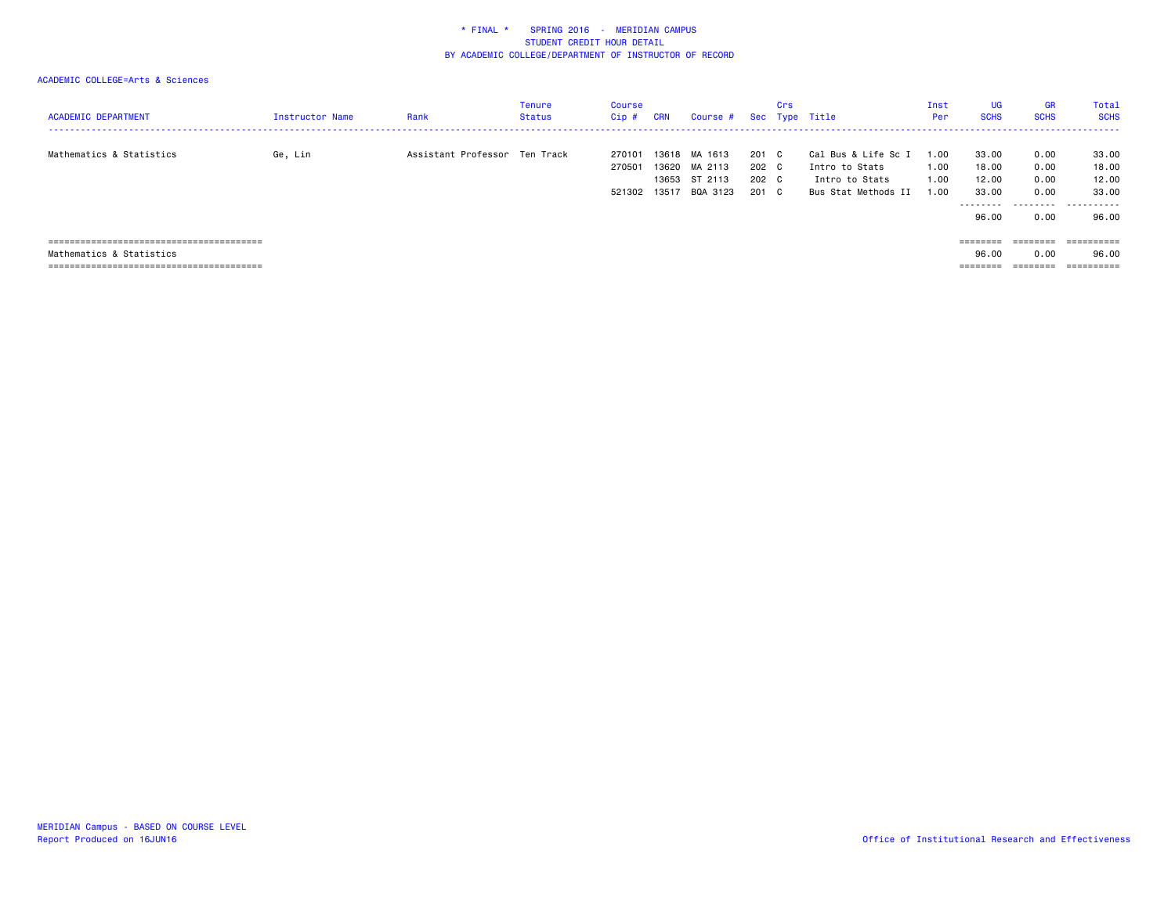| <b>ACADEMIC DEPARTMENT</b> | <b>Instructor Name</b> | Rank                          | Tenure<br><b>Status</b> | Course<br>$Cip$ #          | <b>CRN</b>              | Course #                                        |                              | Crs      | Sec Type Title                                                                 | Inst<br>Per                | UG<br><b>SCHS</b>                              | <b>GR</b><br><b>SCHS</b>             | Total<br><b>SCHS</b><br>.                 |
|----------------------------|------------------------|-------------------------------|-------------------------|----------------------------|-------------------------|-------------------------------------------------|------------------------------|----------|--------------------------------------------------------------------------------|----------------------------|------------------------------------------------|--------------------------------------|-------------------------------------------|
| Mathematics & Statistics   | Ge, Lin                | Assistant Professor Ten Track |                         | 270101<br>270501<br>521302 | 13618<br>13620<br>13517 | MA 1613<br>MA 2113<br>13653 ST 2113<br>BQA 3123 | 201<br>202 C<br>202 C<br>201 | C.<br>C. | Cal Bus & Life Sc I<br>Intro to Stats<br>Intro to Stats<br>Bus Stat Methods II | .00<br>1.00<br>1.00<br>.00 | 33.00<br>18.00<br>12.00<br>33.00<br>.<br>96.00 | 0.00<br>0.00<br>0.00<br>0.00<br>0.00 | 33.00<br>18.00<br>12.00<br>33,00<br>96.00 |
| Mathematics & Statistics   |                        |                               |                         |                            |                         |                                                 |                              |          |                                                                                |                            | ========<br>96.00                              | ========<br>0.00                     | ==========<br>96.00                       |
|                            |                        |                               |                         |                            |                         |                                                 |                              |          |                                                                                |                            | ________<br>========                           | $=$ = = = = = = =                    | ==========                                |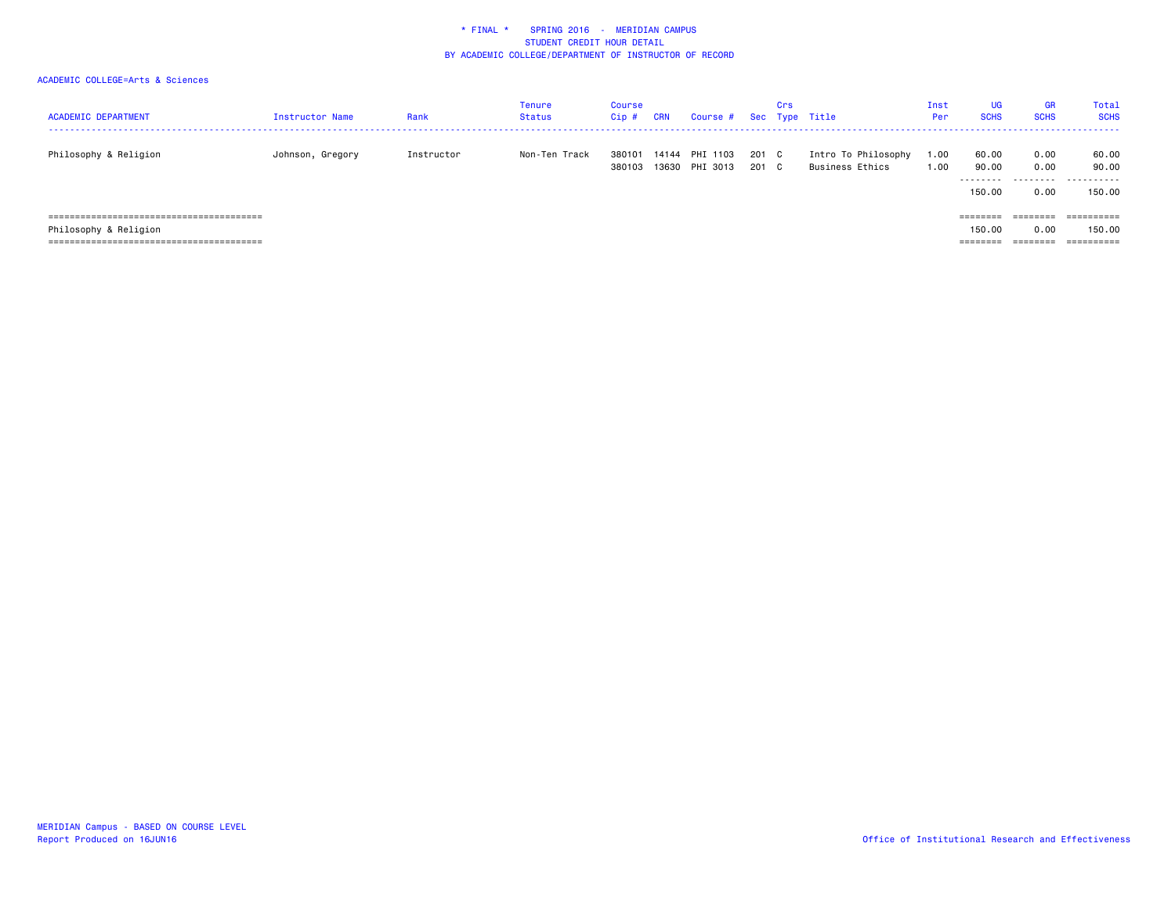| <b>ACADEMIC DEPARTMENT</b> | <b>Instructor Name</b> | Rank       | Tenure<br>Status | Course<br>Cip#   | <b>CRN</b> | Course #                   |              | Crs | Sec Type Title                         | Inst<br>Per | <b>UG</b><br><b>SCHS</b> | <b>GR</b><br><b>SCHS</b> | Total<br><b>SCHS</b>  |
|----------------------------|------------------------|------------|------------------|------------------|------------|----------------------------|--------------|-----|----------------------------------------|-------------|--------------------------|--------------------------|-----------------------|
| Philosophy & Religion      | Johnson, Gregory       | Instructor | Non-Ten Track    | 380101<br>380103 | 14144      | PHI 1103<br>13630 PHI 3013 | 201 C<br>201 | C.  | Intro To Philosophy<br>Business Ethics | 1.00<br>.00 | 60.00<br>90.00<br>.      | 0.00<br>0.00<br>.        | 60.00<br>90.00<br>.   |
|                            |                        |            |                  |                  |            |                            |              |     |                                        |             | 150.00                   | 0.00                     | 150.00                |
|                            |                        |            |                  |                  |            |                            |              |     |                                        |             | ========                 | ========                 | $=$ = = = = = = = = = |
| Philosophy & Religion      |                        |            |                  |                  |            |                            |              |     |                                        |             | 150.00                   | 0.00                     | 150.00                |
|                            |                        |            |                  |                  |            |                            |              |     |                                        |             | --------                 | --------<br>--------     | $=$ = = = = = = = = = |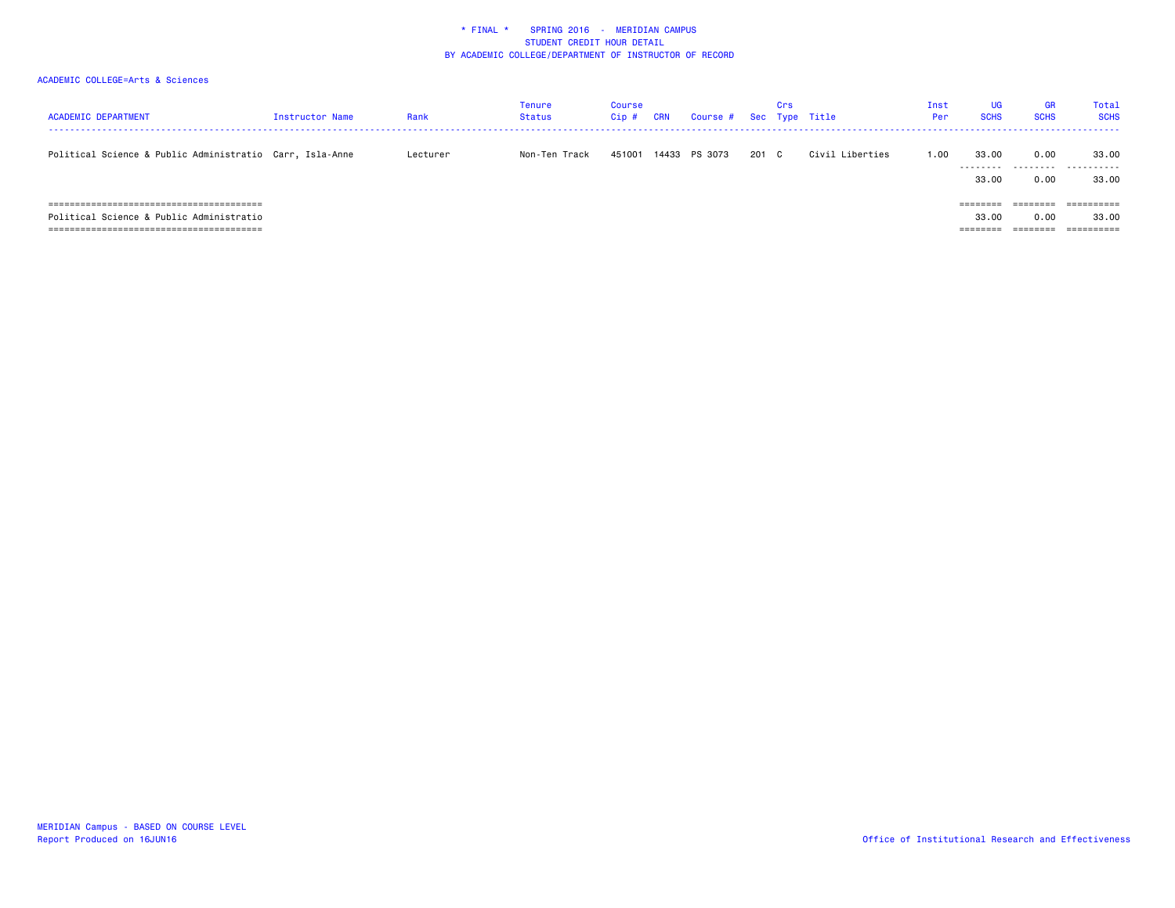| <b>ACADEMIC DEPARTMENT</b>                                                               | Instructor Name | Rank     | Tenure<br>Status | Course<br>Cip# | <b>CRN</b> | Course # Sec Type Title |       | Crs |                 | Inst<br>Per | <b>UG</b><br><b>SCHS</b>    | GR<br><b>SCHS</b>                                                               | Total<br><b>SCHS</b>                         |
|------------------------------------------------------------------------------------------|-----------------|----------|------------------|----------------|------------|-------------------------|-------|-----|-----------------|-------------|-----------------------------|---------------------------------------------------------------------------------|----------------------------------------------|
| Political Science & Public Administratio Carr, Isla-Anne                                 |                 | Lecturer | Non-Ten Track    | 451001         |            | 14433 PS 3073           | 201 C |     | Civil Liberties | 1.00        | 33.00<br>---------<br>33.00 | 0.00<br>---------<br>0.00                                                       | 33.00<br>.<br>33.00                          |
| Political Science & Public Administratio<br>-----------------------------<br>=========== |                 |          |                  |                |            |                         |       |     |                 |             | ========<br>33.00           | $\qquad \qquad \equiv \equiv \equiv \equiv \equiv \equiv \equiv \equiv$<br>0.00 | $=$ = = = = = = = = =<br>33.00<br>========== |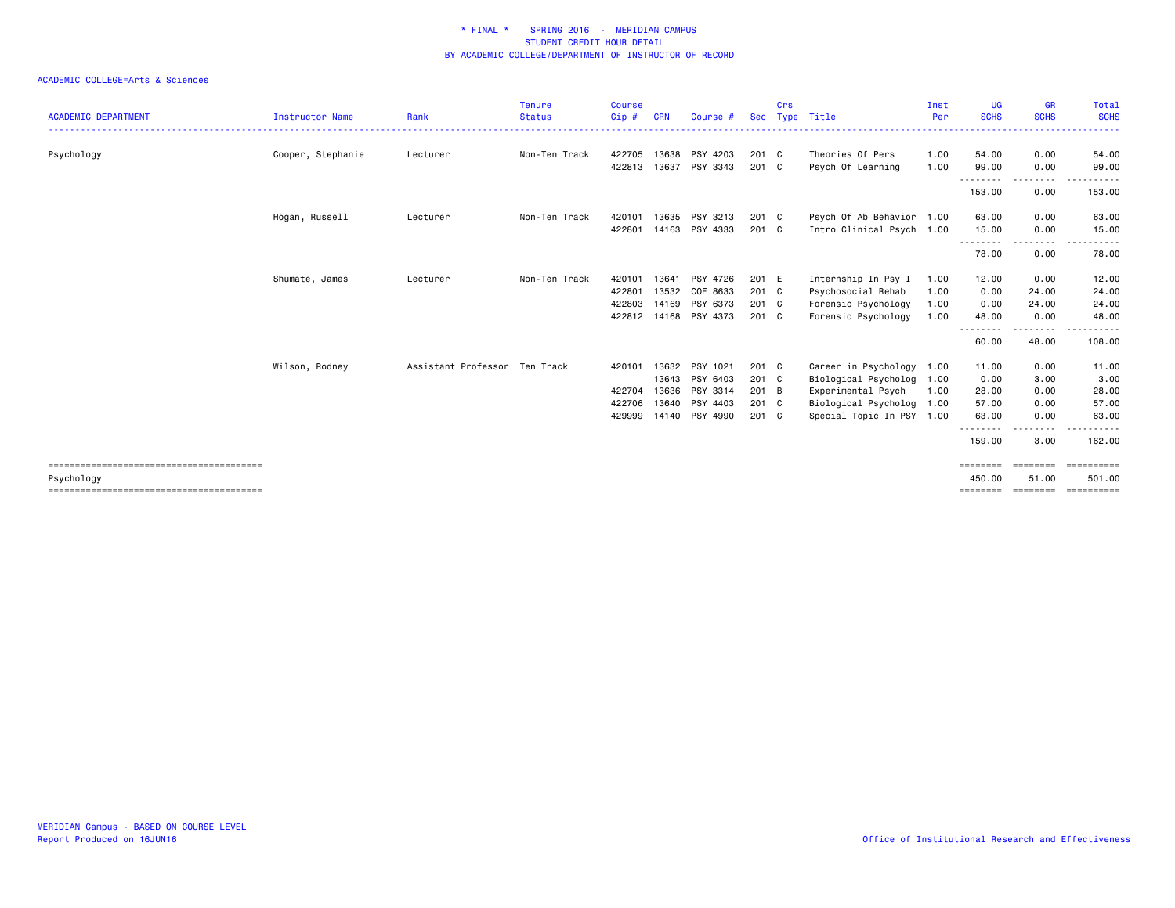|                            |                   |                               | <b>Tenure</b> | <b>Course</b> |       |                |            | Crs |                           | Inst | UG                 | <b>GR</b>                                                                                                                | <b>Total</b>                |
|----------------------------|-------------------|-------------------------------|---------------|---------------|-------|----------------|------------|-----|---------------------------|------|--------------------|--------------------------------------------------------------------------------------------------------------------------|-----------------------------|
| <b>ACADEMIC DEPARTMENT</b> | Instructor Name   | Rank                          | <b>Status</b> | Cip #         | CRN   | Course #       | <b>Sec</b> |     | Type Title                | Per  | <b>SCHS</b>        | <b>SCHS</b>                                                                                                              | <b>SCHS</b><br>. <u>.</u> . |
| Psychology                 | Cooper, Stephanie | Lecturer                      | Non-Ten Track | 422705        | 13638 | PSY 4203       | 201 C      |     | Theories Of Pers          | 1.00 | 54.00              | 0.00                                                                                                                     | 54.00                       |
|                            |                   |                               |               | 422813        | 13637 | PSY 3343       | 201 C      |     | Psych Of Learning         | 1.00 | 99.00              | 0.00                                                                                                                     | 99.00                       |
|                            |                   |                               |               |               |       |                |            |     |                           |      | 153.00             | 0.00                                                                                                                     | 153.00                      |
|                            | Hogan, Russell    | Lecturer                      | Non-Ten Track | 420101        | 13635 | PSY 3213       | 201 C      |     | Psych Of Ab Behavior 1.00 |      | 63.00              | 0.00                                                                                                                     | 63.00                       |
|                            |                   |                               |               | 422801        |       | 14163 PSY 4333 | 201 C      |     | Intro Clinical Psych 1.00 |      | 15.00              | 0.00                                                                                                                     | 15.00                       |
|                            |                   |                               |               |               |       |                |            |     |                           |      | .<br>78.00         | -----<br>0.00                                                                                                            | 78.00                       |
|                            | Shumate, James    | Lecturer                      | Non-Ten Track | 420101        | 13641 | PSY 4726       | 201 E      |     | Internship In Psy I       | 1.00 | 12.00              | 0.00                                                                                                                     | 12.00                       |
|                            |                   |                               |               | 422801        | 13532 | COE 8633       | $201$ C    |     | Psychosocial Rehab        | 1.00 | 0.00               | 24.00                                                                                                                    | 24.00                       |
|                            |                   |                               |               | 422803        |       | 14169 PSY 6373 | 201 C      |     | Forensic Psychology       | 1.00 | 0.00               | 24.00                                                                                                                    | 24.00                       |
|                            |                   |                               |               | 422812        |       | 14168 PSY 4373 | 201 C      |     | Forensic Psychology       | 1.00 | 48.00              | 0.00                                                                                                                     | 48.00                       |
|                            |                   |                               |               |               |       |                |            |     |                           |      | .<br>60.00         | $\begin{array}{cccccccccccccc} \bullet & \bullet & \bullet & \bullet & \bullet & \bullet & \bullet \end{array}$<br>48.00 | 108.00                      |
|                            | Wilson, Rodney    | Assistant Professor Ten Track |               | 420101        | 13632 | PSY 1021       | 201 C      |     | Career in Psychology      | 1.00 | 11.00              | 0.00                                                                                                                     | 11.00                       |
|                            |                   |                               |               |               | 13643 | PSY 6403       | 201 C      |     | Biological Psycholog 1.00 |      | 0.00               | 3.00                                                                                                                     | 3.00                        |
|                            |                   |                               |               | 422704        | 13636 | PSY 3314       | 201 B      |     | Experimental Psych        | 1.00 | 28.00              | 0.00                                                                                                                     | 28.00                       |
|                            |                   |                               |               | 422706        |       | 13640 PSY 4403 | 201 C      |     | Biological Psycholog 1.00 |      | 57.00              | 0.00                                                                                                                     | 57.00                       |
|                            |                   |                               |               | 429999        |       | 14140 PSY 4990 | 201 C      |     | Special Topic In PSY 1.00 |      | 63.00              | 0.00                                                                                                                     | 63.00                       |
|                            |                   |                               |               |               |       |                |            |     |                           |      | 159.00             | 3.00                                                                                                                     | 162.00                      |
| Psychology                 |                   |                               |               |               |       |                |            |     |                           |      | ========<br>450,00 | ========<br>51.00                                                                                                        | ==========<br>501.00        |
|                            |                   |                               |               |               |       |                |            |     |                           |      | ========           | ========                                                                                                                 | ==========                  |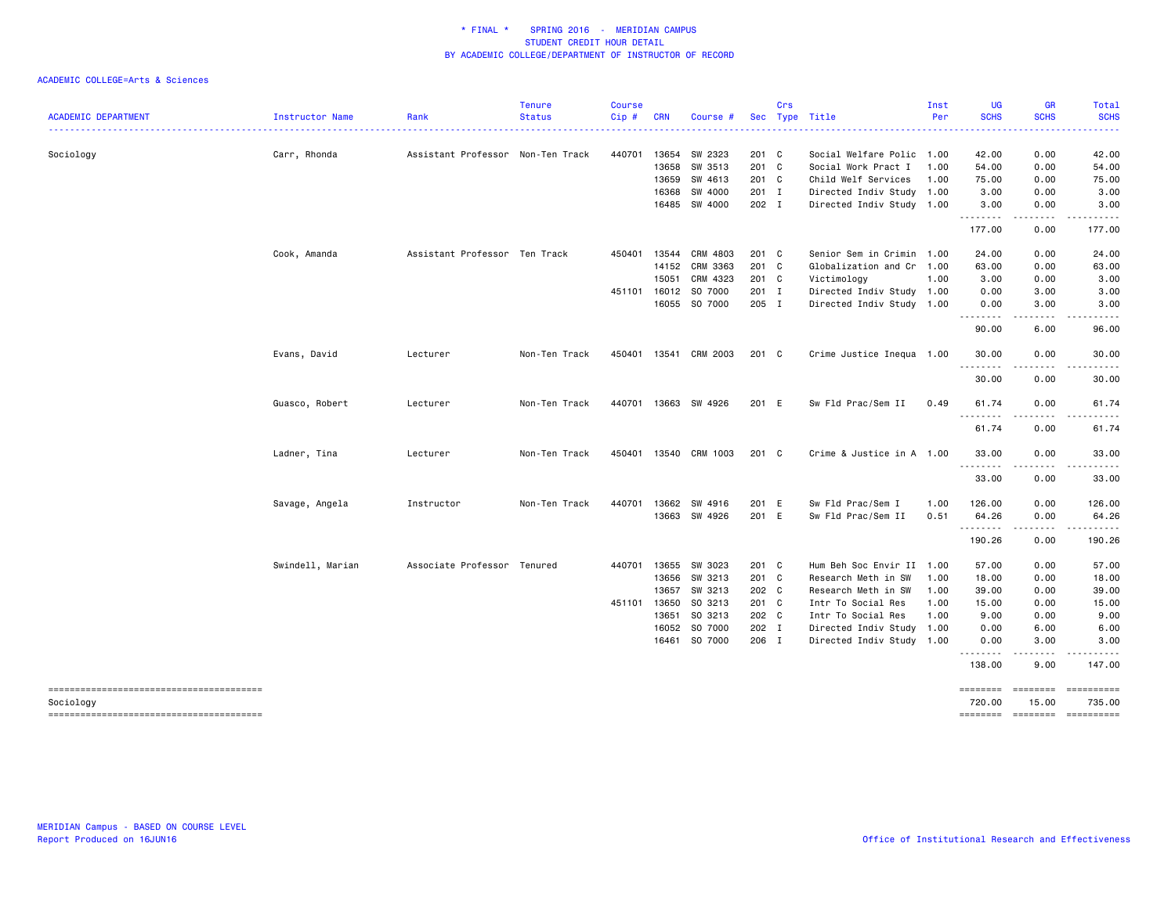| <b>ACADEMIC DEPARTMENT</b> | Instructor Name  | Rank                              | <b>Tenure</b><br><b>Status</b> | <b>Course</b><br>Cip# | <b>CRN</b> | Course #             |       | Crs | Sec Type Title            | Inst<br>Per | UG<br><b>SCHS</b>  | <b>GR</b><br><b>SCHS</b>                                                                                                          | Total<br><b>SCHS</b>                                                                                                                                                                                                                                                                                                                                                                                                        |
|----------------------------|------------------|-----------------------------------|--------------------------------|-----------------------|------------|----------------------|-------|-----|---------------------------|-------------|--------------------|-----------------------------------------------------------------------------------------------------------------------------------|-----------------------------------------------------------------------------------------------------------------------------------------------------------------------------------------------------------------------------------------------------------------------------------------------------------------------------------------------------------------------------------------------------------------------------|
|                            |                  |                                   |                                |                       |            |                      |       |     |                           |             |                    |                                                                                                                                   | $\sim$ $\sim$ $\sim$ $\sim$                                                                                                                                                                                                                                                                                                                                                                                                 |
| Sociology                  | Carr, Rhonda     | Assistant Professor Non-Ten Track |                                | 440701                | 13654      | SW 2323              | 201 C |     | Social Welfare Polic 1.00 |             | 42.00              | 0.00                                                                                                                              | 42.00                                                                                                                                                                                                                                                                                                                                                                                                                       |
|                            |                  |                                   |                                |                       |            | 13658 SW 3513        | 201 C |     | Social Work Pract I       | 1.00        | 54.00              | 0.00                                                                                                                              | 54.00                                                                                                                                                                                                                                                                                                                                                                                                                       |
|                            |                  |                                   |                                |                       |            | 13659 SW 4613        | 201 C |     | Child Welf Services       | 1.00        | 75.00              | 0.00                                                                                                                              | 75.00                                                                                                                                                                                                                                                                                                                                                                                                                       |
|                            |                  |                                   |                                |                       |            | 16368 SW 4000        | 201 I |     | Directed Indiv Study 1.00 |             | 3.00               | 0.00                                                                                                                              | 3.00                                                                                                                                                                                                                                                                                                                                                                                                                        |
|                            |                  |                                   |                                |                       |            | 16485 SW 4000        | 202 I |     | Directed Indiv Study 1.00 |             | 3.00<br>.          | 0.00<br>$\frac{1}{2}$                                                                                                             | 3.00<br>.                                                                                                                                                                                                                                                                                                                                                                                                                   |
|                            |                  |                                   |                                |                       |            |                      |       |     |                           |             | 177.00             | 0.00                                                                                                                              | 177.00                                                                                                                                                                                                                                                                                                                                                                                                                      |
|                            | Cook, Amanda     | Assistant Professor Ten Track     |                                | 450401                | 13544      | CRM 4803             | 201 C |     | Senior Sem in Crimin 1.00 |             | 24.00              | 0.00                                                                                                                              | 24.00                                                                                                                                                                                                                                                                                                                                                                                                                       |
|                            |                  |                                   |                                |                       |            | 14152 CRM 3363       | 201 C |     | Globalization and Cr 1.00 |             | 63.00              | 0.00                                                                                                                              | 63.00                                                                                                                                                                                                                                                                                                                                                                                                                       |
|                            |                  |                                   |                                |                       | 15051      | CRM 4323             | 201 C |     | Victimology               | 1.00        | 3.00               | 0.00                                                                                                                              | 3.00                                                                                                                                                                                                                                                                                                                                                                                                                        |
|                            |                  |                                   |                                |                       |            | 451101 16012 SO 7000 | 201 I |     | Directed Indiv Study 1.00 |             | 0.00               | 3.00                                                                                                                              | 3.00                                                                                                                                                                                                                                                                                                                                                                                                                        |
|                            |                  |                                   |                                |                       |            | 16055 SO 7000        | 205 I |     | Directed Indiv Study 1.00 |             | 0.00<br>. <b>.</b> | 3.00<br>$\frac{1}{2}$                                                                                                             | 3.00<br>.                                                                                                                                                                                                                                                                                                                                                                                                                   |
|                            |                  |                                   |                                |                       |            |                      |       |     |                           |             | 90.00              | 6.00                                                                                                                              | 96.00                                                                                                                                                                                                                                                                                                                                                                                                                       |
|                            | Evans, David     | Lecturer                          | Non-Ten Track                  | 450401                |            | 13541 CRM 2003       | 201 C |     | Crime Justice Inequa 1.00 |             | 30.00<br>.         | 0.00<br>$\frac{1}{2} \left( \frac{1}{2} \right) \left( \frac{1}{2} \right) \left( \frac{1}{2} \right) \left( \frac{1}{2} \right)$ | 30.00<br>.                                                                                                                                                                                                                                                                                                                                                                                                                  |
|                            |                  |                                   |                                |                       |            |                      |       |     |                           |             | 30.00              | 0.00                                                                                                                              | 30.00                                                                                                                                                                                                                                                                                                                                                                                                                       |
|                            | Guasco, Robert   | Lecturer                          | Non-Ten Track                  | 440701                |            | 13663 SW 4926        | 201 E |     | Sw Fld Prac/Sem II        | 0.49        | 61.74<br>.         | 0.00<br>$\frac{1}{2}$                                                                                                             | 61.74                                                                                                                                                                                                                                                                                                                                                                                                                       |
|                            |                  |                                   |                                |                       |            |                      |       |     |                           |             | 61.74              | 0.00                                                                                                                              | 61.74                                                                                                                                                                                                                                                                                                                                                                                                                       |
|                            | Ladner, Tina     | Lecturer                          | Non-Ten Track                  | 450401                |            | 13540 CRM 1003       | 201 C |     | Crime & Justice in A 1.00 |             | 33.00              | 0.00                                                                                                                              | 33.00<br>.                                                                                                                                                                                                                                                                                                                                                                                                                  |
|                            |                  |                                   |                                |                       |            |                      |       |     |                           |             | .<br>33.00         | .<br>0.00                                                                                                                         | 33.00                                                                                                                                                                                                                                                                                                                                                                                                                       |
|                            | Savage, Angela   | Instructor                        | Non-Ten Track                  | 440701                |            | 13662 SW 4916        | 201 E |     | Sw Fld Prac/Sem I         | 1.00        | 126.00             | 0.00                                                                                                                              | 126.00                                                                                                                                                                                                                                                                                                                                                                                                                      |
|                            |                  |                                   |                                |                       |            | 13663 SW 4926        | 201 E |     | Sw Fld Prac/Sem II        | 0.51        | 64.26<br>.         | 0.00<br>.                                                                                                                         | 64.26                                                                                                                                                                                                                                                                                                                                                                                                                       |
|                            |                  |                                   |                                |                       |            |                      |       |     |                           |             | 190.26             | 0.00                                                                                                                              | 190.26                                                                                                                                                                                                                                                                                                                                                                                                                      |
|                            | Swindell, Marian | Associate Professor Tenured       |                                | 440701                |            | 13655 SW 3023        | 201 C |     | Hum Beh Soc Envir II 1.00 |             | 57.00              | 0.00                                                                                                                              | 57.00                                                                                                                                                                                                                                                                                                                                                                                                                       |
|                            |                  |                                   |                                |                       |            | 13656 SW 3213        | 201 C |     | Research Meth in SW       | 1.00        | 18.00              | 0.00                                                                                                                              | 18.00                                                                                                                                                                                                                                                                                                                                                                                                                       |
|                            |                  |                                   |                                |                       | 13657      | SW 3213              | 202 C |     | Research Meth in SW       | 1.00        | 39.00              | 0.00                                                                                                                              | 39.00                                                                                                                                                                                                                                                                                                                                                                                                                       |
|                            |                  |                                   |                                | 451101                |            | 13650 SO 3213        | 201 C |     | Intr To Social Res        | 1.00        | 15.00              | 0.00                                                                                                                              | 15.00                                                                                                                                                                                                                                                                                                                                                                                                                       |
|                            |                  |                                   |                                |                       | 13651      | SO 3213              | 202 C |     | Intr To Social Res        | 1.00        | 9.00               | 0.00                                                                                                                              | 9.00                                                                                                                                                                                                                                                                                                                                                                                                                        |
|                            |                  |                                   |                                |                       |            | 16052 SO 7000        | 202 I |     | Directed Indiv Study 1.00 |             | 0.00               | 6.00                                                                                                                              | 6.00                                                                                                                                                                                                                                                                                                                                                                                                                        |
|                            |                  |                                   |                                |                       |            | 16461 SO 7000        | 206 I |     | Directed Indiv Study 1.00 |             | 0.00<br>.          | 3.00<br>$\sim$ $\sim$ $\sim$ $\sim$                                                                                               | 3.00<br>.                                                                                                                                                                                                                                                                                                                                                                                                                   |
|                            |                  |                                   |                                |                       |            |                      |       |     |                           |             | 138.00             | 9.00                                                                                                                              | 147.00                                                                                                                                                                                                                                                                                                                                                                                                                      |
| Sociology                  |                  |                                   |                                |                       |            |                      |       |     |                           |             | ========<br>720.00 | ========<br>15.00                                                                                                                 | 735.00                                                                                                                                                                                                                                                                                                                                                                                                                      |
|                            |                  |                                   |                                |                       |            |                      |       |     |                           |             | ========           | <b>EEEEEEE</b>                                                                                                                    | $\begin{minipage}{0.03\linewidth} \hspace*{-0.2cm} \textbf{1} & \textbf{2} & \textbf{3} & \textbf{5} & \textbf{6} & \textbf{7} \\ \textbf{5} & \textbf{6} & \textbf{7} & \textbf{8} & \textbf{8} & \textbf{9} & \textbf{10} \\ \textbf{6} & \textbf{8} & \textbf{8} & \textbf{8} & \textbf{9} & \textbf{10} & \textbf{10} \\ \textbf{7} & \textbf{9} & \textbf{10} & \textbf{10} & \textbf{10} & \textbf{10} & \textbf{10}$ |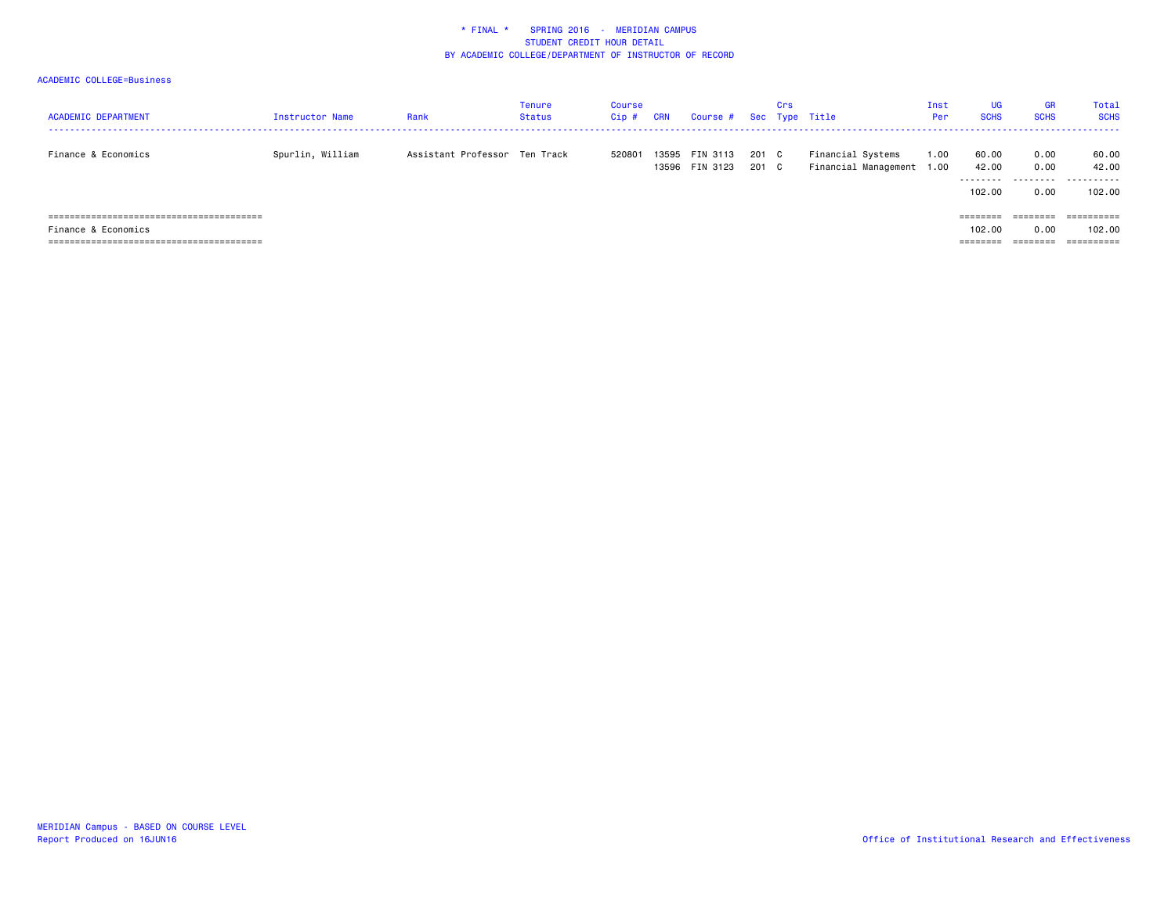| <b>ACADEMIC DEPARTMENT</b> | Instructor Name  | Rank                          | <b>Tenure</b><br>Status | Course<br>Cip# | <b>CRN</b> | Course # Sec Type Title          |                | Crs |                                                | Inst<br>Per | <b>UG</b><br><b>SCHS</b>                                                          | <b>GR</b><br><b>SCHS</b> | Total<br><b>SCHS</b> |
|----------------------------|------------------|-------------------------------|-------------------------|----------------|------------|----------------------------------|----------------|-----|------------------------------------------------|-------------|-----------------------------------------------------------------------------------|--------------------------|----------------------|
| Finance & Economics        | Spurlin, William | Assistant Professor Ten Track |                         | 520801         |            | 13595 FIN 3113<br>13596 FIN 3123 | 201 C<br>201 C |     | Financial Systems<br>Financial Management 1.00 | 1.00        | 60.00<br>42.00<br>---------                                                       | 0.00<br>0.00<br>.        | 60.00<br>42.00<br>.  |
|                            |                  |                               |                         |                |            |                                  |                |     |                                                |             | 102.00<br>$\qquad \qquad \equiv \equiv \equiv \equiv \equiv \equiv \equiv \equiv$ | 0.00<br>========         | 102.00<br>========== |
| Finance & Economics        |                  |                               |                         |                |            |                                  |                |     |                                                |             | 102.00                                                                            | 0.00                     | 102.00               |
|                            |                  |                               |                         |                |            |                                  |                |     |                                                |             | --------<br>--------                                                              | --------                 | ==========           |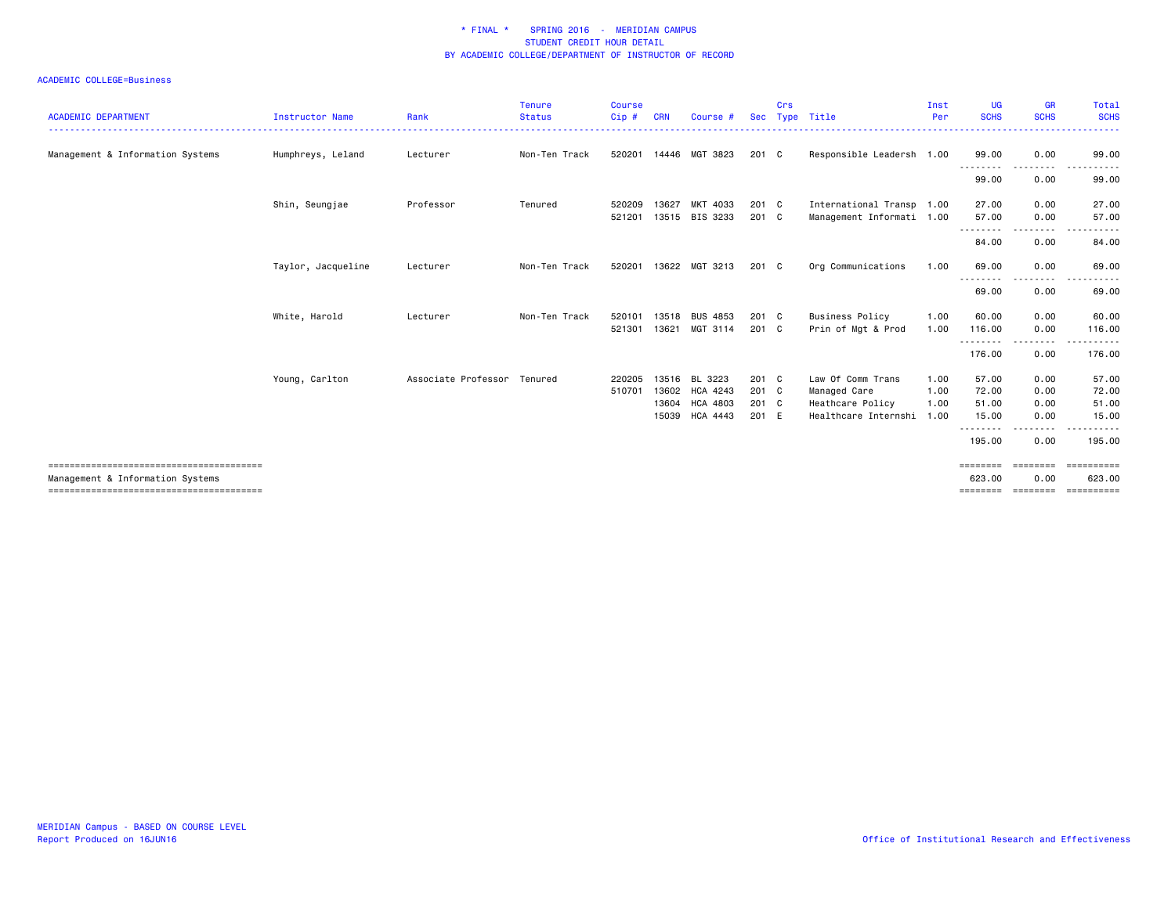| <b>ACADEMIC DEPARTMENT</b>       | Instructor Name    | Rank                        | <b>Tenure</b><br><b>Status</b> | <b>Course</b><br>Cip# | <b>CRN</b>     | Course #                                                       | <b>Sec</b>                       | Crs | Type Title                                                                         | Inst<br>Per          | UG<br><b>SCHS</b>                               | <b>GR</b><br><b>SCHS</b>                          | Total<br><b>SCHS</b>                                  |
|----------------------------------|--------------------|-----------------------------|--------------------------------|-----------------------|----------------|----------------------------------------------------------------|----------------------------------|-----|------------------------------------------------------------------------------------|----------------------|-------------------------------------------------|---------------------------------------------------|-------------------------------------------------------|
| Management & Information Systems | Humphreys, Leland  | Lecturer                    | Non-Ten Track                  | 520201                |                | 14446 MGT 3823                                                 | 201 C                            |     | Responsible Leadersh 1.00                                                          |                      | 99.00                                           | 0.00                                              | 99.00                                                 |
|                                  |                    |                             |                                |                       |                |                                                                |                                  |     |                                                                                    |                      | .<br>99.00                                      | 0.00                                              | 99.00                                                 |
|                                  | Shin, Seungjae     | Professor                   | Tenured                        | 520209<br>521201      | 13627          | MKT 4033<br>13515 BIS 3233                                     | 201 C<br>201 C                   |     | International Transp 1.00<br>Management Informati 1.00                             |                      | 27.00<br>57.00                                  | 0.00<br>0.00                                      | 27.00<br>57.00                                        |
|                                  |                    |                             |                                |                       |                |                                                                |                                  |     |                                                                                    |                      | .<br>84.00                                      | .<br>0.00                                         | 84.00                                                 |
|                                  | Taylor, Jacqueline | Lecturer                    | Non-Ten Track                  | 520201                |                | 13622 MGT 3213                                                 | 201 C                            |     | Org Communications                                                                 | 1.00                 | 69.00                                           | 0.00                                              | 69.00                                                 |
|                                  |                    |                             |                                |                       |                |                                                                |                                  |     |                                                                                    |                      | 69.00                                           | ----<br>0.00                                      | 69.00                                                 |
|                                  | White, Harold      | Lecturer                    | Non-Ten Track                  | 520101<br>521301      | 13518<br>13621 | <b>BUS 4853</b><br>MGT 3114                                    | 201 C<br>201 C                   |     | <b>Business Policy</b><br>Prin of Mgt & Prod                                       | 1.00<br>1.00         | 60.00<br>116.00                                 | 0.00<br>0.00                                      | 60.00<br>116.00                                       |
|                                  |                    |                             |                                |                       |                |                                                                |                                  |     |                                                                                    |                      | .<br>176.00                                     | 0.00                                              | 176.00                                                |
|                                  | Young, Carlton     | Associate Professor Tenured |                                | 220205<br>510701      | 13516<br>15039 | BL 3223<br>13602 HCA 4243<br>13604 HCA 4803<br><b>HCA 4443</b> | 201 C<br>201 C<br>201 C<br>201 E |     | Law Of Comm Trans<br>Managed Care<br>Heathcare Policy<br>Healthcare Internshi 1.00 | 1.00<br>1.00<br>1.00 | 57.00<br>72.00<br>51.00<br>15.00<br>.<br>195.00 | 0.00<br>0.00<br>0.00<br>0.00<br>$- - - -$<br>0.00 | 57.00<br>72.00<br>51.00<br>15.00<br>195.00            |
|                                  |                    |                             |                                |                       |                |                                                                |                                  |     |                                                                                    |                      |                                                 |                                                   |                                                       |
| Management & Information Systems |                    |                             |                                |                       |                |                                                                |                                  |     |                                                                                    |                      | ========<br>623.00                              | 0.00                                              | EEEEEEEEE<br>623.00<br>============================== |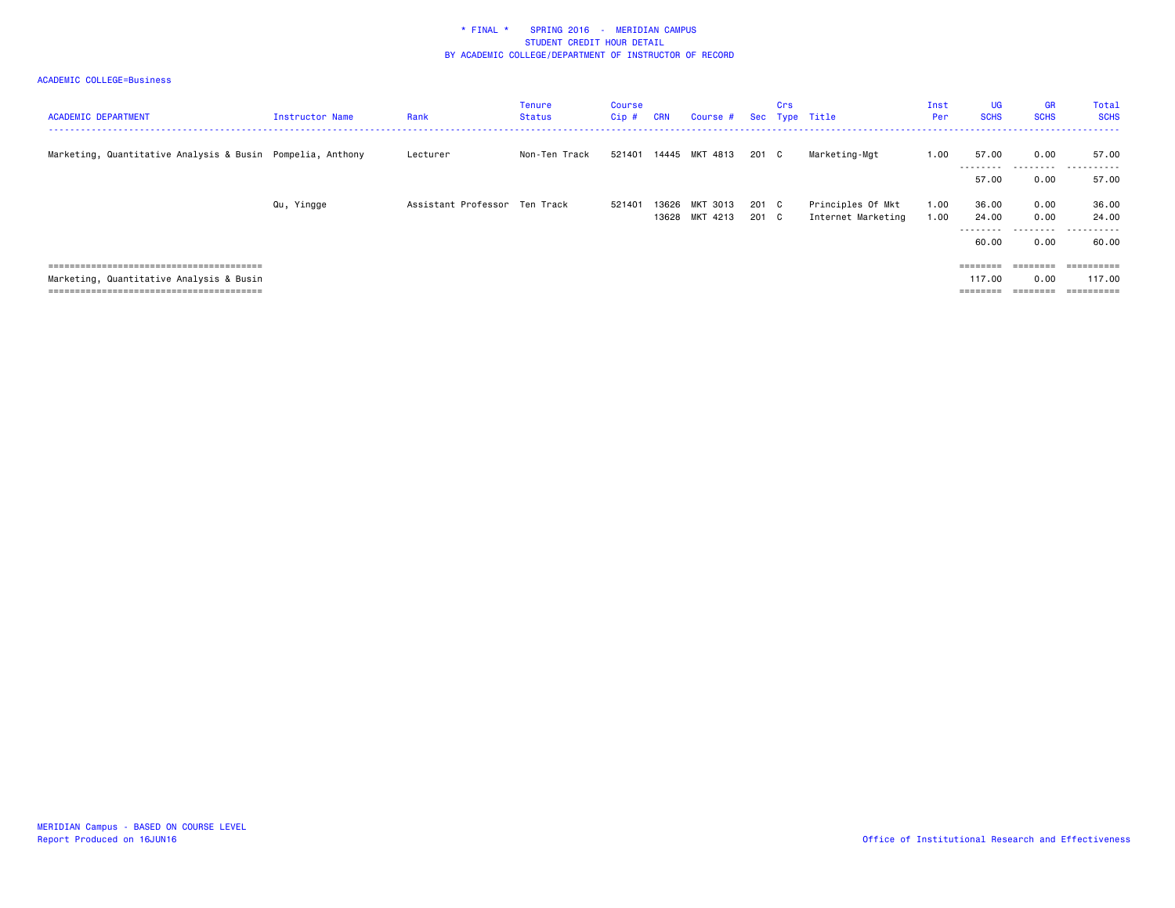| <b>ACADEMIC DEPARTMENT</b>                                 | Instructor Name | Rank                          | Tenure<br>Status | Course<br>Cip # | <b>CRN</b> | Course #                   |                | Crs | Sec Type Title                          | Inst<br>Per  | <b>UG</b><br><b>SCHS</b>       | <b>GR</b><br><b>SCHS</b>                       | Total<br><b>SCHS</b>         |
|------------------------------------------------------------|-----------------|-------------------------------|------------------|-----------------|------------|----------------------------|----------------|-----|-----------------------------------------|--------------|--------------------------------|------------------------------------------------|------------------------------|
| Marketing, Quantitative Analysis & Busin Pompelia, Anthony |                 | Lecturer                      | Non-Ten Track    | 521401          |            | 14445 MKT 4813             | 201 C          |     | Marketing-Mgt                           | 1.00         | 57.00                          | 0.00                                           | 57.00                        |
|                                                            |                 |                               |                  |                 |            |                            |                |     |                                         |              | .<br>57.00                     | .<br>0.00                                      | .<br>57.00                   |
|                                                            | Qu, Yingge      | Assistant Professor Ten Track |                  | 521401          | 13626      | MKT 3013<br>13628 MKT 4213 | 201 C<br>201 C |     | Principles Of Mkt<br>Internet Marketing | 1.00<br>1.00 | 36.00<br>24,00<br>.<br>60.00   | 0.00<br>0.00<br>.<br>0.00                      | 36.00<br>24.00<br>.<br>60.00 |
| Marketing, Quantitative Analysis & Busin                   |                 |                               |                  |                 |            |                            |                |     |                                         |              | ========<br>117.00<br>======== | $=$ = = = = = = =<br>0.00<br>$=$ = = = = = = = | 117.00<br>==========         |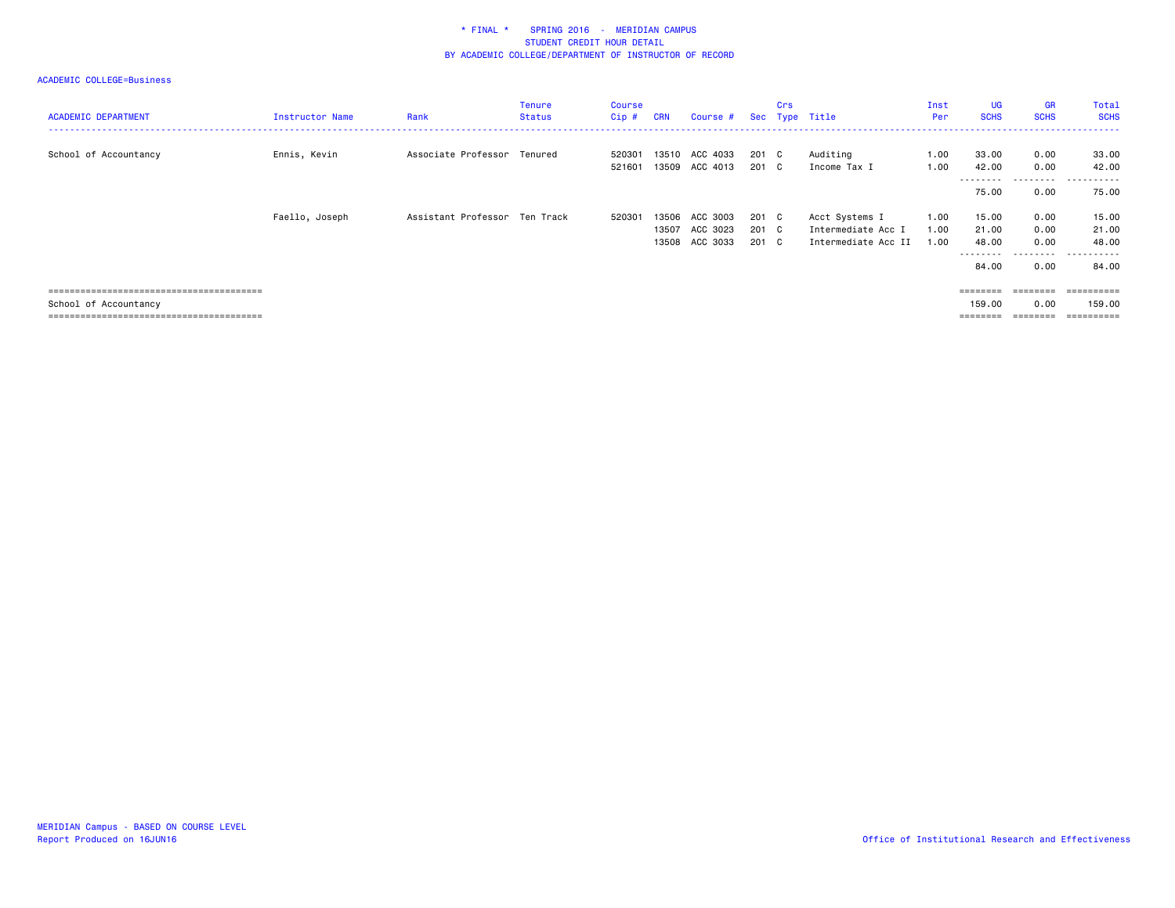| <b>ACADEMIC DEPARTMENT</b> | Instructor Name | Rank                          | <b>Tenure</b><br><b>Status</b> | Course<br>Cip #  | <b>CRN</b>              | Course #                         |                         | Crs | Sec Type Title                                              | Inst<br>Per          | UG<br><b>SCHS</b>           | <b>GR</b><br><b>SCHS</b>  | Total<br><b>SCHS</b>                               |
|----------------------------|-----------------|-------------------------------|--------------------------------|------------------|-------------------------|----------------------------------|-------------------------|-----|-------------------------------------------------------------|----------------------|-----------------------------|---------------------------|----------------------------------------------------|
| School of Accountancy      | Ennis, Kevin    | Associate Professor Tenured   |                                | 520301<br>521601 |                         | 13510 ACC 4033<br>13509 ACC 4013 | 201 C<br>201 C          |     | Auditing<br>Income Tax I                                    | 1.00<br>1.00         | 33.00<br>42.00<br>--------- | 0.00<br>0.00<br>-----     | 33.00<br>42.00<br>.                                |
|                            |                 |                               |                                |                  |                         |                                  |                         |     |                                                             |                      | 75.00                       | 0.00                      | 75.00                                              |
|                            | Faello, Joseph  | Assistant Professor Ten Track |                                | 520301           | 13506<br>13507<br>13508 | ACC 3003<br>ACC 3023<br>ACC 3033 | 201 C<br>201 C<br>201 C |     | Acct Systems I<br>Intermediate Acc I<br>Intermediate Acc II | 1.00<br>1.00<br>1.00 | 15.00<br>21.00<br>48.00     | 0.00<br>0.00<br>0.00<br>. | 15.00<br>21.00<br>48.00<br>------<br>$\sim$ $\sim$ |
|                            |                 |                               |                                |                  |                         |                                  |                         |     |                                                             |                      | 84.00                       | 0.00                      | 84.00                                              |
|                            |                 |                               |                                |                  |                         |                                  |                         |     |                                                             |                      | 159.00                      | $=$ = = = = = = =<br>0.00 | 159.00                                             |
| School of Accountancy      |                 |                               |                                |                  |                         |                                  |                         |     |                                                             |                      |                             | ========                  |                                                    |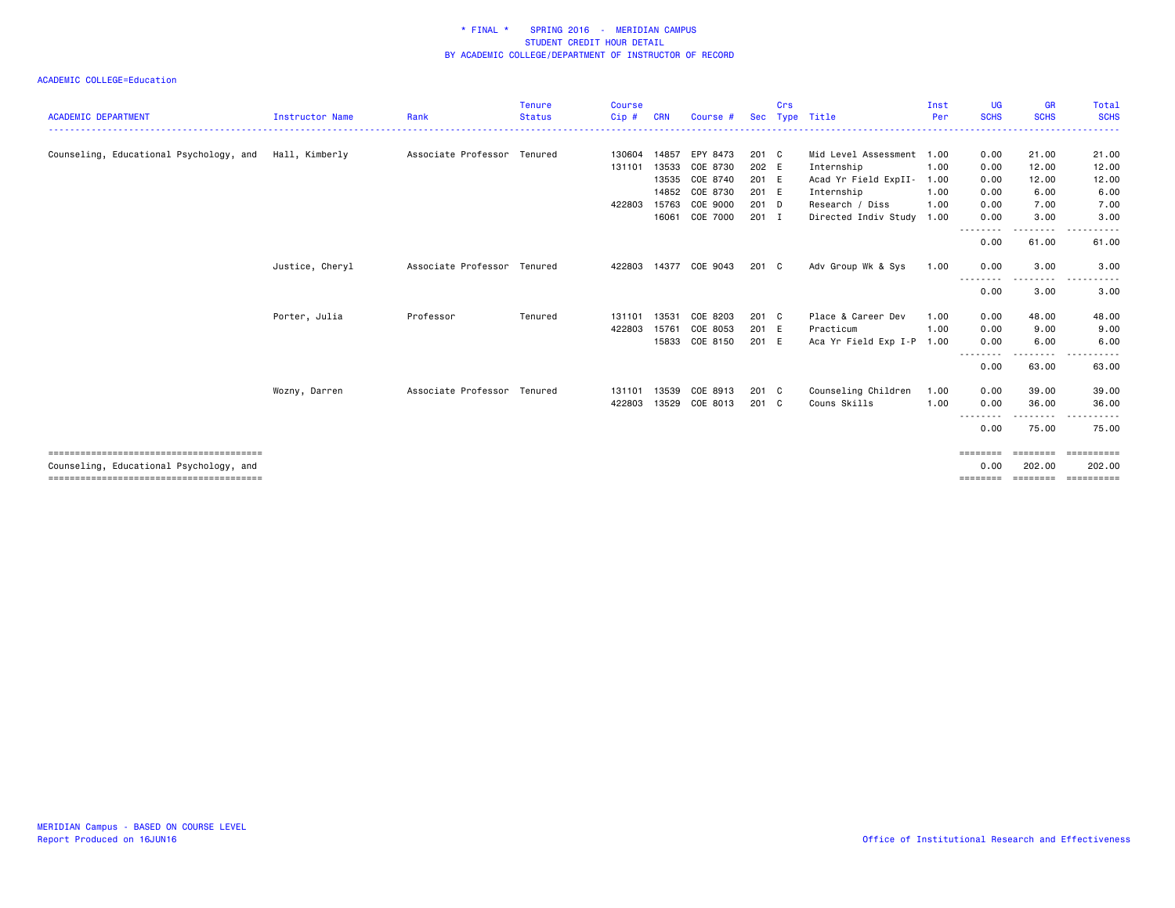| <b>ACADEMIC DEPARTMENT</b>              | <b>Instructor Name</b> |                             | <b>Tenure</b><br><b>Status</b> | <b>Course</b> | <b>CRN</b> | Course #       | <b>Sec</b> | Crs |                           | Inst<br>Per | <b>UG</b><br><b>SCHS</b> | <b>GR</b><br><b>SCHS</b> | <b>Total</b><br><b>SCHS</b> |
|-----------------------------------------|------------------------|-----------------------------|--------------------------------|---------------|------------|----------------|------------|-----|---------------------------|-------------|--------------------------|--------------------------|-----------------------------|
|                                         |                        | Rank                        |                                | Cip#          |            |                |            |     | Type Title                |             |                          |                          |                             |
| Counseling, Educational Psychology, and | Hall, Kimberly         | Associate Professor Tenured |                                | 130604        | 14857      | EPY 8473       | 201 C      |     | Mid Level Assessment 1.00 |             | 0.00                     | 21.00                    | 21.00                       |
|                                         |                        |                             |                                | 131101        | 13533      | COE 8730       | 202 E      |     | Internship                | 1.00        | 0.00                     | 12.00                    | 12.00                       |
|                                         |                        |                             |                                |               | 13535      | COE 8740       | 201 E      |     | Acad Yr Field ExpII-      | 1.00        | 0.00                     | 12.00                    | 12.00                       |
|                                         |                        |                             |                                |               | 14852      | COE 8730       | 201 E      |     | Internship                | 1.00        | 0.00                     | 6.00                     | 6.00                        |
|                                         |                        |                             |                                | 422803        | 15763      | COE 9000       | 201 D      |     | Research / Diss           | 1.00        | 0.00                     | 7.00                     | 7.00                        |
|                                         |                        |                             |                                |               | 16061      | COE 7000       | 201 I      |     | Directed Indiv Study      | 1.00        | 0.00                     | 3.00                     | 3.00                        |
|                                         |                        |                             |                                |               |            |                |            |     |                           |             | .<br>0.00                | د د د د<br>61.00         | 61.00                       |
|                                         | Justice, Cheryl        | Associate Professor         | Tenured                        | 422803        |            | 14377 COE 9043 | 201 C      |     | Adv Group Wk & Sys        | 1.00        | 0.00                     | 3.00                     | 3.00                        |
|                                         |                        |                             |                                |               |            |                |            |     |                           |             | .<br>0.00                | .<br>3.00                | 3.00                        |
|                                         | Porter, Julia          | Professor                   | Tenured                        | 131101        | 13531      | COE 8203       | 201 C      |     | Place & Career Dev        | 1.00        | 0.00                     | 48.00                    | 48.00                       |
|                                         |                        |                             |                                | 422803        | 15761      | COE 8053       | 201 E      |     | Practicum                 | 1.00        | 0.00                     | 9.00                     | 9.00                        |
|                                         |                        |                             |                                |               | 15833      | COE 8150       | 201 E      |     | Aca Yr Field Exp I-P 1.00 |             | 0.00                     | 6.00                     | 6.00                        |
|                                         |                        |                             |                                |               |            |                |            |     |                           |             | .<br>0.00                | - - - - -<br>63.00       | 63.00                       |
|                                         | Wozny, Darren          | Associate Professor Tenured |                                | 131101        | 13539      | COE 8913       | 201 C      |     | Counseling Children       | 1.00        | 0.00                     | 39.00                    | 39.00                       |
|                                         |                        |                             |                                | 422803        | 13529      | COE 8013       | 201 C      |     | Couns Skills              | 1.00        | 0.00                     | 36.00                    | 36.00                       |
|                                         |                        |                             |                                |               |            |                |            |     |                           |             | .<br>0.00                | -------<br>75.00         | .<br>75.00                  |
|                                         |                        |                             |                                |               |            |                |            |     |                           |             | ========                 |                          |                             |
| Counseling, Educational Psychology, and |                        |                             |                                |               |            |                |            |     |                           |             | 0.00                     | 202.00                   | 202.00                      |
|                                         |                        |                             |                                |               |            |                |            |     |                           |             | $=$ = = = = = = =        | $=$ = = = = = = =        | ==========                  |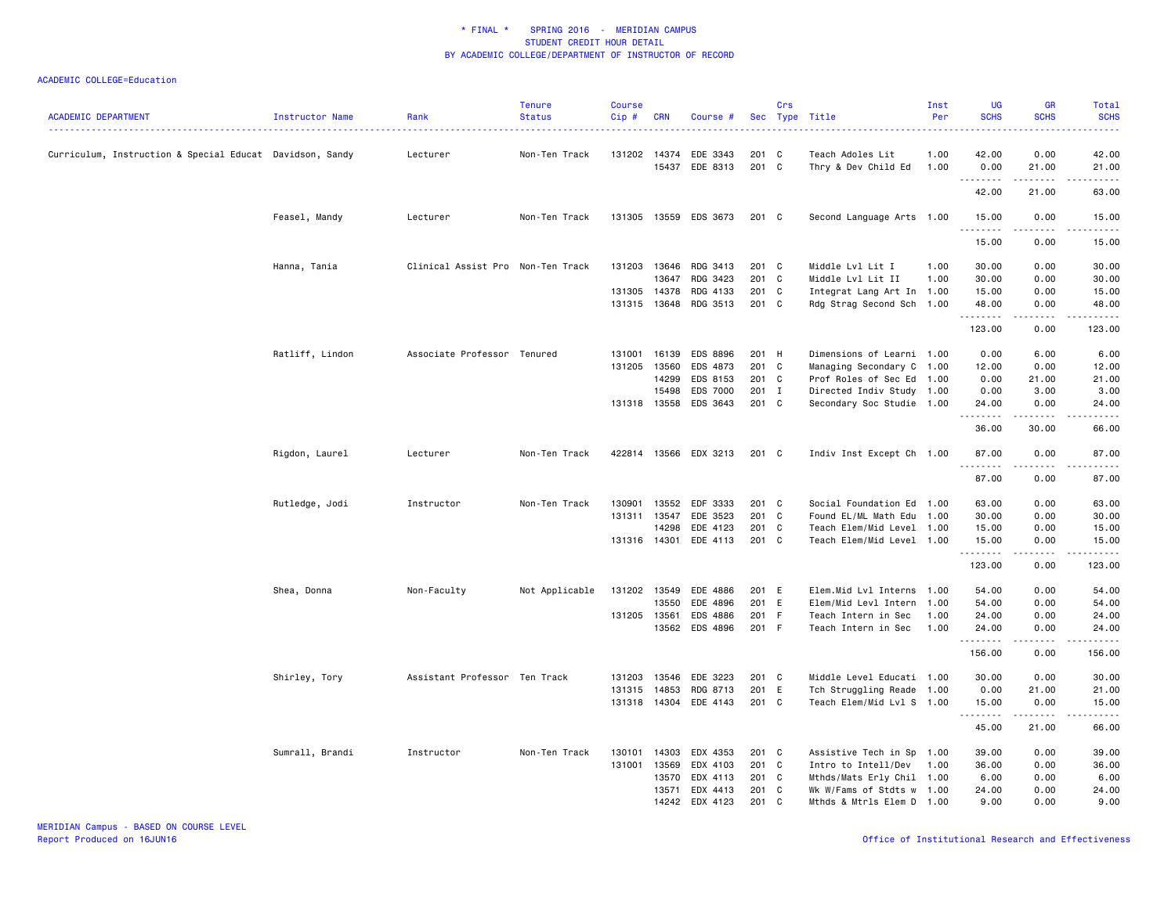| <b>ACADEMIC DEPARTMENT</b>                               | Instructor Name | Rank                              | <b>Tenure</b><br><b>Status</b> | <b>Course</b><br>$Cip \#$ | <b>CRN</b>   | Course #                   |                | Crs | Sec Type Title                               | Inst<br>Per | <b>UG</b><br><b>SCHS</b> | GR<br><b>SCHS</b>            | <b>Total</b><br><b>SCHS</b><br>$\frac{1}{2} \left( \frac{1}{2} \right) \left( \frac{1}{2} \right) \left( \frac{1}{2} \right) \left( \frac{1}{2} \right)$      |
|----------------------------------------------------------|-----------------|-----------------------------------|--------------------------------|---------------------------|--------------|----------------------------|----------------|-----|----------------------------------------------|-------------|--------------------------|------------------------------|---------------------------------------------------------------------------------------------------------------------------------------------------------------|
| Curriculum, Instruction & Special Educat Davidson, Sandy |                 | Lecturer                          | Non-Ten Track                  |                           | 131202 14374 | EDE 3343<br>15437 EDE 8313 | 201 C<br>201 C |     | Teach Adoles Lit<br>Thry & Dev Child Ed 1.00 | 1.00        | 42.00<br>0.00            | 0.00<br>21.00                | 42.00<br>21.00                                                                                                                                                |
|                                                          |                 |                                   |                                |                           |              |                            |                |     |                                              |             | .<br>42.00               | .<br>21.00                   | .<br>63.00                                                                                                                                                    |
|                                                          | Feasel, Mandy   | Lecturer                          | Non-Ten Track                  |                           |              | 131305 13559 EDS 3673      | 201 C          |     | Second Language Arts 1.00                    |             | 15.00                    | 0.00                         | 15.00                                                                                                                                                         |
|                                                          |                 |                                   |                                |                           |              |                            |                |     |                                              |             | .<br>15.00               | .<br>0.00                    | .<br>15.00                                                                                                                                                    |
|                                                          | Hanna, Tania    | Clinical Assist Pro Non-Ten Track |                                | 131203                    |              | 13646 RDG 3413             | 201 C          |     | Middle Lvl Lit I                             | 1.00        | 30.00                    | 0.00                         | 30.00                                                                                                                                                         |
|                                                          |                 |                                   |                                |                           | 13647        | RDG 3423                   | 201 C          |     | Middle Lvl Lit II                            | 1.00        | 30.00                    | 0.00                         | 30.00                                                                                                                                                         |
|                                                          |                 |                                   |                                | 131305                    | 14378        | RDG 4133                   | 201            | C   | Integrat Lang Art In 1.00                    |             | 15.00                    | 0.00                         | 15.00                                                                                                                                                         |
|                                                          |                 |                                   |                                | 131315                    | 13648        | RDG 3513                   | 201 C          |     | Rdg Strag Second Sch 1.00                    |             | 48.00<br>.               | 0.00<br>.                    | 48.00<br>الداعات بال                                                                                                                                          |
|                                                          |                 |                                   |                                |                           |              |                            |                |     |                                              |             | 123.00                   | 0.00                         | 123.00                                                                                                                                                        |
|                                                          | Ratliff, Lindon | Associate Professor Tenured       |                                | 131001                    | 16139        | <b>EDS 8896</b>            | 201 H          |     | Dimensions of Learni 1.00                    |             | 0.00                     | 6.00                         | 6.00                                                                                                                                                          |
|                                                          |                 |                                   |                                | 131205                    | 13560        | EDS 4873                   | 201 C          |     | Managing Secondary C 1.00                    |             | 12.00                    | 0.00                         | 12.00                                                                                                                                                         |
|                                                          |                 |                                   |                                |                           | 14299        | EDS 8153                   | 201 C          |     | Prof Roles of Sec Ed 1.00                    |             | 0.00                     | 21.00                        | 21.00                                                                                                                                                         |
|                                                          |                 |                                   |                                |                           | 15498        | <b>EDS 7000</b>            | 201 I          |     | Directed Indiv Study 1.00                    |             | 0.00                     | 3.00                         | 3.00                                                                                                                                                          |
|                                                          |                 |                                   |                                |                           |              | 131318 13558 EDS 3643      | 201 C          |     | Secondary Soc Studie 1.00                    |             | 24.00<br>.               | 0.00<br>.                    | 24.00<br>$\frac{1}{2} \left( \frac{1}{2} \right) \left( \frac{1}{2} \right) \left( \frac{1}{2} \right) \left( \frac{1}{2} \right) \left( \frac{1}{2} \right)$ |
|                                                          |                 |                                   |                                |                           |              |                            |                |     |                                              |             | 36.00                    | 30.00                        | 66.00                                                                                                                                                         |
|                                                          | Rigdon, Laurel  | Lecturer                          | Non-Ten Track                  |                           |              | 422814 13566 EDX 3213      | 201 C          |     | Indiv Inst Except Ch 1.00                    |             | 87.00<br>.               | 0.00<br>$\sim$ $\sim$ $\sim$ | 87.00<br>د د د د د                                                                                                                                            |
|                                                          |                 |                                   |                                |                           |              |                            |                |     |                                              |             | 87.00                    | 0.00                         | 87.00                                                                                                                                                         |
|                                                          | Rutledge, Jodi  | Instructor                        | Non-Ten Track                  | 130901                    | 13552        | EDF 3333                   | 201 C          |     | Social Foundation Ed 1.00                    |             | 63.00                    | 0.00                         | 63.00                                                                                                                                                         |
|                                                          |                 |                                   |                                | 131311                    | 13547        | EDE 3523                   | $201 \quad C$  |     | Found EL/ML Math Edu 1.00                    |             | 30.00                    | 0.00                         | 30.00                                                                                                                                                         |
|                                                          |                 |                                   |                                |                           | 14298        | EDE 4123                   | 201 C          |     | Teach Elem/Mid Level 1.00                    |             | 15.00                    | 0.00                         | 15.00                                                                                                                                                         |
|                                                          |                 |                                   |                                |                           |              | 131316 14301 EDE 4113      | 201 C          |     | Teach Elem/Mid Level 1.00                    |             | 15.00<br>. <b>.</b> .    | 0.00<br>$- - - -$            | 15.00<br>.                                                                                                                                                    |
|                                                          |                 |                                   |                                |                           |              |                            |                |     |                                              |             | 123.00                   | 0.00                         | 123.00                                                                                                                                                        |
|                                                          | Shea, Donna     | Non-Faculty                       | Not Applicable                 |                           | 131202 13549 | EDE 4886                   | 201 E          |     | Elem.Mid Lvl Interns 1.00                    |             | 54.00                    | 0.00                         | 54.00                                                                                                                                                         |
|                                                          |                 |                                   |                                |                           | 13550        | EDE 4896                   | 201 E          |     | Elem/Mid Levl Intern 1.00                    |             | 54.00                    | 0.00                         | 54.00                                                                                                                                                         |
|                                                          |                 |                                   |                                | 131205 13561              |              | EDS 4886                   | 201            | F   | Teach Intern in Sec                          | 1.00        | 24.00                    | 0.00                         | 24.00                                                                                                                                                         |
|                                                          |                 |                                   |                                |                           |              | 13562 EDS 4896             | 201 F          |     | Teach Intern in Sec                          | 1.00        | 24.00<br><u>.</u>        | 0.00<br>.                    | 24.00<br>.                                                                                                                                                    |
|                                                          |                 |                                   |                                |                           |              |                            |                |     |                                              |             | 156.00                   | 0.00                         | 156.00                                                                                                                                                        |
|                                                          | Shirley, Tory   | Assistant Professor Ten Track     |                                | 131203                    | 13546        | EDE 3223                   | 201 C          |     | Middle Level Educati 1.00                    |             | 30.00                    | 0.00                         | 30.00                                                                                                                                                         |
|                                                          |                 |                                   |                                | 131315                    | 14853        | RDG 8713                   | 201 E          |     | Tch Struggling Reade 1.00                    |             | 0.00                     | 21.00                        | 21.00                                                                                                                                                         |
|                                                          |                 |                                   |                                | 131318                    | 14304        | EDE 4143                   | 201 C          |     | Teach Elem/Mid Lvl S 1.00                    |             | 15.00<br>.               | 0.00<br><u>.</u>             | 15.00<br>د د د د د                                                                                                                                            |
|                                                          |                 |                                   |                                |                           |              |                            |                |     |                                              |             | 45.00                    | 21.00                        | 66.00                                                                                                                                                         |
|                                                          | Sumrall, Brandi | Instructor                        | Non-Ten Track                  | 130101                    |              | 14303 EDX 4353             | 201 C          |     | Assistive Tech in Sp 1.00                    |             | 39.00                    | 0.00                         | 39.00                                                                                                                                                         |
|                                                          |                 |                                   |                                | 131001                    | 13569        | EDX 4103                   | 201 C          |     | Intro to Intell/Dev                          | 1.00        | 36.00                    | 0.00                         | 36.00                                                                                                                                                         |
|                                                          |                 |                                   |                                |                           | 13570        | EDX 4113                   | 201 C          |     | Mthds/Mats Erly Chil 1.00                    |             | 6.00                     | 0.00                         | 6.00                                                                                                                                                          |
|                                                          |                 |                                   |                                |                           | 13571        | EDX 4413                   | 201            | C   | Wk W/Fams of Stdts w 1.00                    |             | 24.00                    | 0.00                         | 24.00                                                                                                                                                         |
|                                                          |                 |                                   |                                |                           |              | 14242 EDX 4123             | 201 C          |     | Mthds & Mtrls Elem D 1.00                    |             | 9.00                     | 0.00                         | 9.00                                                                                                                                                          |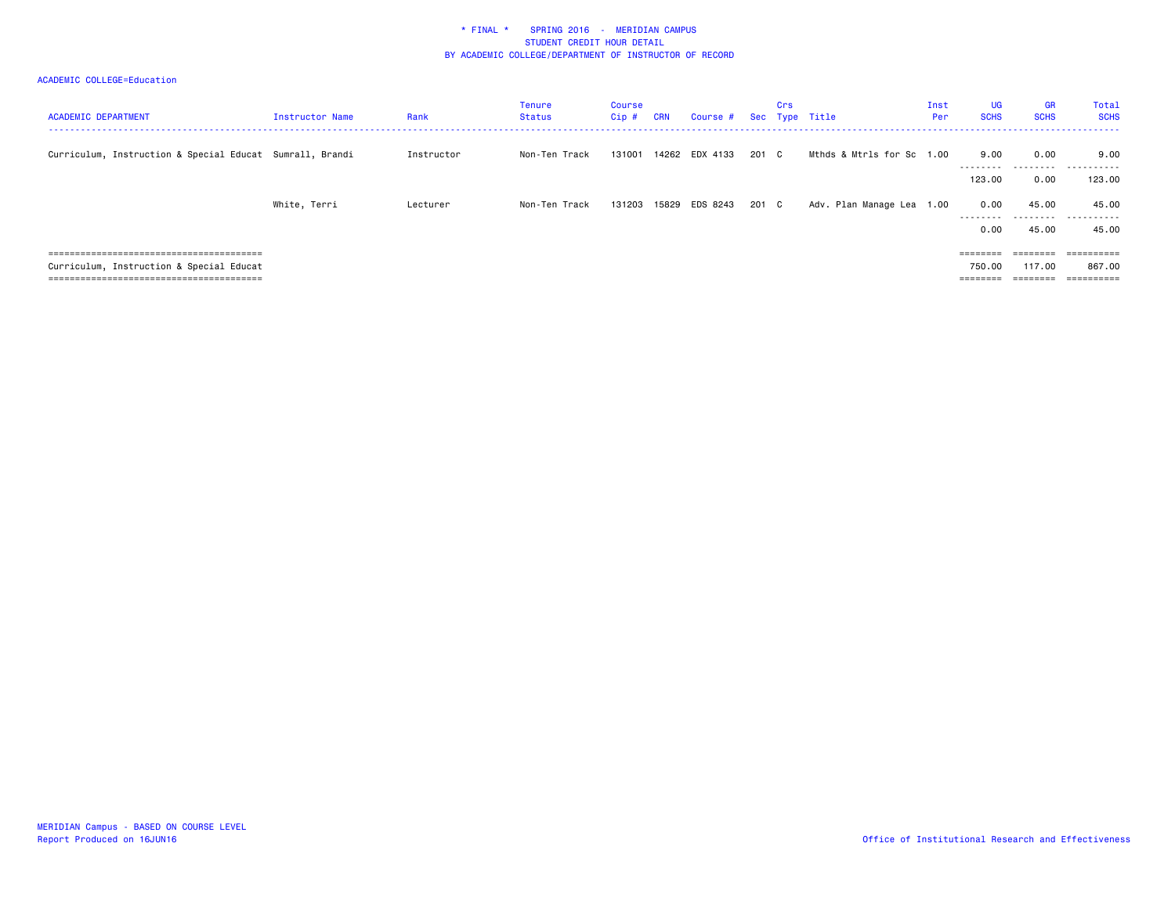| <b>ACADEMIC DEPARTMENT</b>                               | <b>Instructor Name</b> | Rank       | Tenure<br>Status | Course<br>Cip # | <b>CRN</b> | Course #       |       | Crs | Sec Type Title            | Inst<br>Per | <b>UG</b><br><b>SCHS</b> | <b>GR</b><br><b>SCHS</b> | Total<br><b>SCHS</b>          |
|----------------------------------------------------------|------------------------|------------|------------------|-----------------|------------|----------------|-------|-----|---------------------------|-------------|--------------------------|--------------------------|-------------------------------|
| Curriculum, Instruction & Special Educat Sumrall, Brandi |                        | Instructor | Non-Ten Track    | 131001          |            | 14262 EDX 4133 | 201 C |     | Mthds & Mtrls for Sc 1.00 |             | 9.00<br>.                | 0.00                     | 9.00<br>                      |
|                                                          |                        |            |                  |                 |            |                |       |     |                           |             | 123,00                   | 0.00                     | 123.00                        |
|                                                          | White, Terri           | Lecturer   | Non-Ten Track    | 131203          |            | 15829 EDS 8243 | 201 C |     | Adv. Plan Manage Lea 1.00 |             | 0.00<br>---------        | 45.00                    | 45.00<br>--------- ---------- |
|                                                          |                        |            |                  |                 |            |                |       |     |                           |             | 0.00                     | 45.00                    | 45.00                         |
|                                                          |                        |            |                  |                 |            |                |       |     |                           |             | ========                 | ========                 | ==========                    |
| Curriculum, Instruction & Special Educat                 |                        |            |                  |                 |            |                |       |     |                           |             | 750.00                   | 117.00                   | 867.00                        |
|                                                          |                        |            |                  |                 |            |                |       |     |                           |             | ========                 | ________                 | $=$ = = = = = = = = =         |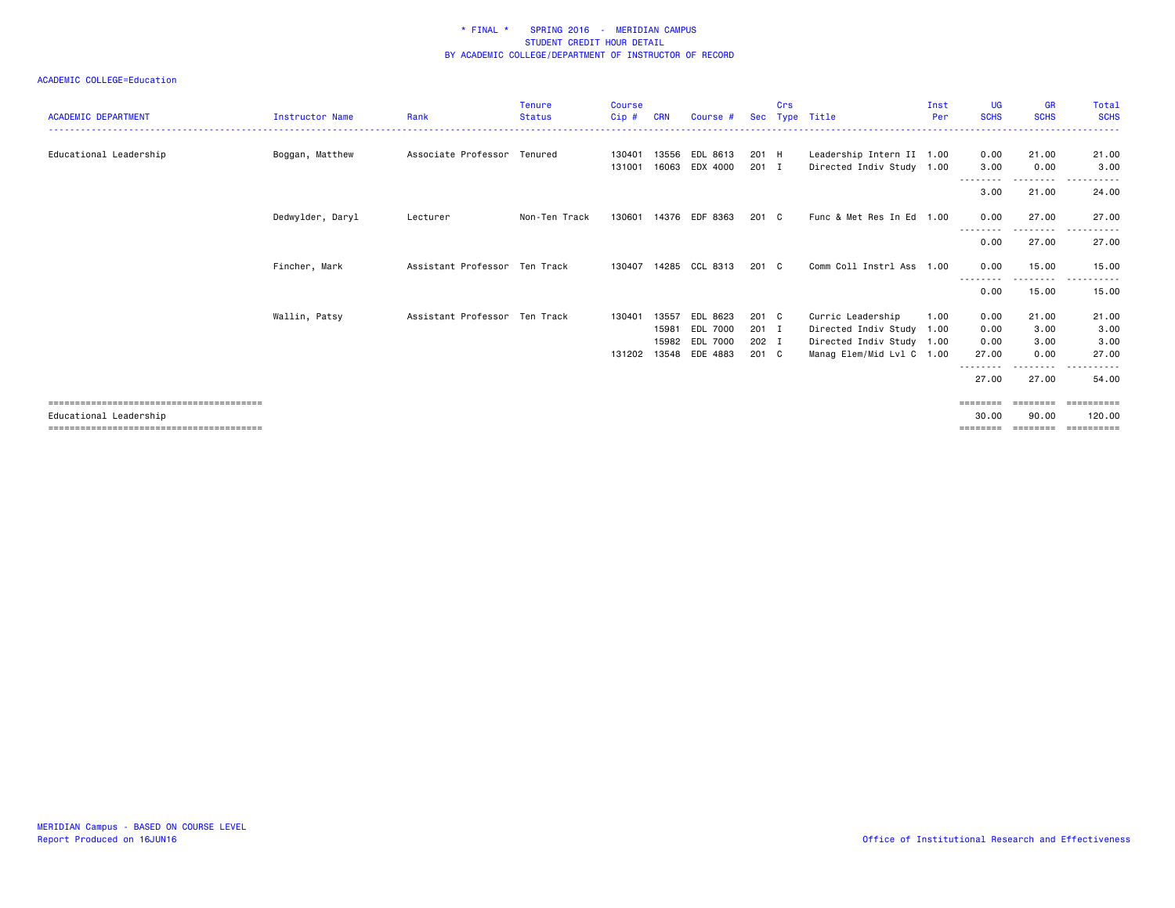| <b>ACADEMIC DEPARTMENT</b> | <b>Instructor Name</b> | Rank                          | <b>Tenure</b><br><b>Status</b> | <b>Course</b><br>Cip# | <b>CRN</b>     | Course #                                                 | Sec                              | Crs | Type Title                                                                                               | Inst<br>Per | <b>UG</b><br><b>SCHS</b>      | <b>GR</b><br><b>SCHS</b>      | Total<br><b>SCHS</b>                          |
|----------------------------|------------------------|-------------------------------|--------------------------------|-----------------------|----------------|----------------------------------------------------------|----------------------------------|-----|----------------------------------------------------------------------------------------------------------|-------------|-------------------------------|-------------------------------|-----------------------------------------------|
| Educational Leadership     | Boggan, Matthew        | Associate Professor Tenured   |                                | 130401<br>131001      | 13556<br>16063 | EDL 8613<br>EDX 4000                                     | 201 H<br>$201$ I                 |     | Leadership Intern II 1.00<br>Directed Indiv Study 1.00                                                   |             | 0.00<br>3.00                  | 21.00<br>0.00                 | 21.00<br>3.00                                 |
|                            |                        |                               |                                |                       |                |                                                          |                                  |     |                                                                                                          |             | 3.00                          | --------<br>21.00             | 24.00                                         |
|                            | Dedwylder, Daryl       | Lecturer                      | Non-Ten Track                  | 130601                | 14376          | EDF 8363                                                 | $201 \quad C$                    |     | Func & Met Res In Ed 1.00                                                                                |             | 0.00                          | 27.00                         | 27.00                                         |
|                            |                        |                               |                                |                       |                |                                                          |                                  |     |                                                                                                          |             | 0.00                          | 27.00                         | 27.00                                         |
|                            | Fincher, Mark          | Assistant Professor Ten Track |                                | 130407                |                | 14285 CCL 8313                                           | $201 \quad C$                    |     | Comm Coll Instrl Ass 1.00                                                                                |             | 0.00                          | 15.00                         | 15.00                                         |
|                            |                        |                               |                                |                       |                |                                                          |                                  |     |                                                                                                          |             | 0.00                          | 15.00                         | 15.00                                         |
|                            | Wallin, Patsy          | Assistant Professor Ten Track |                                | 130401<br>131202      | 13557<br>15981 | EDL 8623<br>EDL 7000<br>15982 EDL 7000<br>13548 EDE 4883 | 201 C<br>201 I<br>202 I<br>201 C |     | Curric Leadership<br>Directed Indiv Study 1.00<br>Directed Indiv Study 1.00<br>Manag Elem/Mid Lvl C 1.00 | 1.00        | 0.00<br>0.00<br>0.00<br>27.00 | 21.00<br>3.00<br>3.00<br>0.00 | 21.00<br>3.00<br>3.00<br>27.00                |
|                            |                        |                               |                                |                       |                |                                                          |                                  |     |                                                                                                          |             | --------<br>27.00             | .<br>27.00                    | 54.00                                         |
| Educational Leadership     |                        |                               |                                |                       |                |                                                          |                                  |     |                                                                                                          |             | ========<br>30.00<br>======== | 90.00<br>$=$ = = = = = = =    | $=$ = = = = = = = = =<br>120,00<br>========== |